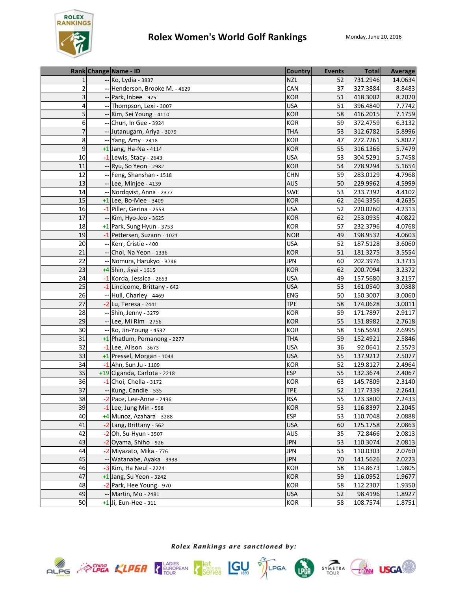

|                         |                            | Rank Change Name - ID        | <b>Country</b> | Events | <b>Total</b> | <b>Average</b> |
|-------------------------|----------------------------|------------------------------|----------------|--------|--------------|----------------|
| $\mathbf{1}$            |                            | -- Ko, Lydia - 3837          | <b>NZL</b>     | 52     | 731.2946     | 14.0634        |
| $\overline{\mathbf{c}}$ |                            | Henderson, Brooke M. - 4629  | CAN            | 37     | 327.3884     | 8.8483         |
| 3                       |                            | Park, Inbee - 975            | <b>KOR</b>     | 51     | 418.3002     | 8.2020         |
| 4                       |                            | Thompson, Lexi - 3007        | <b>USA</b>     | 51     | 396.4840     | 7.7742         |
| 5                       |                            | -- Kim, Sei Young - 4110     | <b>KOR</b>     | 58     | 416.2015     | 7.1759         |
| 6                       |                            | Chun, In Gee - 3924          | <b>KOR</b>     | 59     | 372.4759     | 6.3132         |
| 7                       |                            | Jutanugarn, Ariya - 3079     | <b>THA</b>     | 53     | 312.6782     | 5.8996         |
| 8                       |                            | -- Yang, Amy - 2418          | <b>KOR</b>     | 47     | 272.7261     | 5.8027         |
| $\boldsymbol{9}$        |                            | $+1$ Jang, Ha-Na - 4114      | <b>KOR</b>     | 55     | 316.1366     | 5.7479         |
| 10                      |                            | $-1$ Lewis, Stacy - 2643     | <b>USA</b>     | 53     | 304.5291     | 5.7458         |
| 11                      | $\overline{\phantom{a}}$ . | Ryu, So Yeon - 2982          | <b>KOR</b>     | 54     | 278.9294     | 5.1654         |
| 12                      |                            | Feng, Shanshan - 1518        | <b>CHN</b>     | 59     | 283.0129     | 4.7968         |
| 13                      |                            | -- Lee, Minjee - 4139        | <b>AUS</b>     | 50     | 229.9962     | 4.5999         |
| 14                      |                            | Nordqvist, Anna - 2377       | SWE            | 53     | 233.7392     | 4.4102         |
| 15                      |                            | $+1$ Lee, Bo-Mee - 3409      | <b>KOR</b>     | 62     | 264.3356     | 4.2635         |
| 16                      |                            | -1 Piller, Gerina - 2553     | <b>USA</b>     | 52     | 220.0260     | 4.2313         |
| 17                      |                            | Kim, Hyo-Joo - 3625          | <b>KOR</b>     | 62     | 253.0935     | 4.0822         |
| 18                      |                            | $+1$ Park, Sung Hyun - 3753  | KOR            | 57     | 232.3796     | 4.0768         |
| 19                      |                            | -1 Pettersen, Suzann - 1021  | <b>NOR</b>     | 49     | 198.9532     | 4.0603         |
| 20                      |                            | -- Kerr, Cristie - 400       | <b>USA</b>     | 52     | 187.5128     | 3.6060         |
| 21                      |                            | Choi, Na Yeon - 1336         | <b>KOR</b>     | 51     | 181.3275     | 3.5554         |
| 22                      |                            | -- Nomura, Harukyo - 3746    | <b>JPN</b>     | 60     | 202.3976     | 3.3733         |
| 23                      |                            | +4 Shin, Jiyai - 1615        | <b>KOR</b>     | 62     | 200.7094     | 3.2372         |
| 24                      |                            | -1 Korda, Jessica - 2653     | <b>USA</b>     | 49     | 157.5680     | 3.2157         |
| 25                      |                            | -1 Lincicome, Brittany - 642 | <b>USA</b>     | 53     | 161.0540     | 3.0388         |
| 26                      |                            | Hull, Charley - 4469         | ENG            | 50     | 150.3007     | 3.0060         |
| 27                      |                            | $-2$ Lu, Teresa - 2441       | <b>TPE</b>     | 58     | 174.0628     | 3.0011         |
| 28                      |                            | Shin, Jenny - 3279           | <b>KOR</b>     | 59     | 171.7897     | 2.9117         |
| 29                      |                            | Lee, Mi Rim - 2756           | <b>KOR</b>     | 55     | 151.8982     | 2.7618         |
| 30                      |                            | Ko, Jin-Young - 4532         | <b>KOR</b>     | 58     | 156.5693     | 2.6995         |
| 31                      |                            | +1 Phatlum, Pornanong - 2277 | <b>THA</b>     | 59     | 152.4921     | 2.5846         |
| 32                      |                            | -1 Lee, Alison - 3673        | <b>USA</b>     | 36     | 92.0641      | 2.5573         |
| 33                      |                            | +1 Pressel, Morgan - 1044    | <b>USA</b>     | 55     | 137.9212     | 2.5077         |
| 34                      |                            | $-1$ Ahn, Sun Ju - 1109      | <b>KOR</b>     | 52     | 129.8127     | 2.4964         |
| 35                      |                            | +19 Ciganda, Carlota - 2218  | <b>ESP</b>     | 55     | 132.3674     | 2.4067         |
| 36                      |                            | $-1$ Choi, Chella - 3172     | <b>KOR</b>     | 63     | 145.7809     | 2.3140         |
| 37                      |                            | -- Kung, Candie - 535        | <b>TPE</b>     | 52     | 117.7339     | 2.2641         |
| 38                      |                            | $-2$ Pace, Lee-Anne - 2496   | <b>RSA</b>     | 55     | 123.3800     | 2.2433         |
| 39                      |                            | $-1$ Lee, Jung Min - 598     | <b>KOR</b>     | 53     | 116.8397     | 2.2045         |
| 40                      |                            | +4 Munoz, Azahara - 3288     | <b>ESP</b>     | 53     | 110.7048     | 2.0888         |
| 41                      |                            | -2 Lang, Brittany - 562      | <b>USA</b>     | 60     | 125.1758     | 2.0863         |
| 42                      |                            | Oh, Su-Hyun - 3507           | AUS            | 35     | 72.8466      | 2.0813         |
| 43                      |                            | Oyama, Shiho - 926           | <b>JPN</b>     | 53     | 110.3074     | 2.0813         |
| 44                      |                            | Miyazato, Mika - 776         | <b>JPN</b>     | 53     | 110.0303     | 2.0760         |
| 45                      |                            | Watanabe, Ayaka - 3938       | <b>JPN</b>     | 70     | 141.5626     | 2.0223         |
| 46                      |                            | -3 Kim, Ha Neul - 2224       | KOR            | 58     | 114.8673     | 1.9805         |
| 47                      |                            | $+1$ Jang, Su Yeon - 3242    | <b>KOR</b>     | 59     | 116.0952     | 1.9677         |
| 48                      |                            | -2 Park, Hee Young - 970     | KOR            | 58     | 112.2307     | 1.9350         |
| 49                      |                            | Martin, Mo - 2481            | <b>USA</b>     | 52     | 98.4196      | 1.8927         |
| 50                      |                            | $+1$ Ji, Eun-Hee - 311       | KOR            | 58     | 108.7574     | 1.8751         |









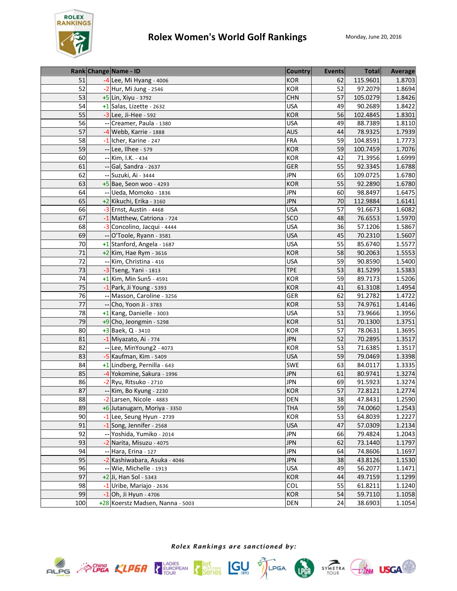

|                 | Rank Change Name - ID            | <b>Country</b> | <b>Events</b> | <b>Total</b> | Average |
|-----------------|----------------------------------|----------------|---------------|--------------|---------|
| 51              | -4 Lee, Mi Hyang - 4006          | <b>KOR</b>     | 62            | 115.9601     | 1.8703  |
| 52              | -2 Hur, Mi Jung - 2546           | <b>KOR</b>     | 52            | 97.2079      | 1.8694  |
| 53              | $+5$ Lin, Xiyu - 3792            | <b>CHN</b>     | 57            | 105.0279     | 1.8426  |
| 54              | +1 Salas, Lizette - 2632         | <b>USA</b>     | 49            | 90.2689      | 1.8422  |
| 55              | $-3$ Lee, Ji-Hee - 592           | <b>KOR</b>     | 56            | 102.4845     | 1.8301  |
| 56              | Creamer, Paula - 1380            | <b>USA</b>     | 49            | 88.7389      | 1.8110  |
| 57              | -4 Webb, Karrie - 1888           | <b>AUS</b>     | 44            | 78.9325      | 1.7939  |
| 58              | -1 Icher, Karine - 247           | <b>FRA</b>     | 59            | 104.8591     | 1.7773  |
| 59              | -- Lee, Ilhee - 579              | <b>KOR</b>     | 59            | 100.7459     | 1.7076  |
| 60              | -- Kim, I.K. - 434               | <b>KOR</b>     | 42            | 71.3956      | 1.6999  |
| 61              | -- Gal, Sandra - 2637            | <b>GER</b>     | 55            | 92.3345      | 1.6788  |
| 62              | -- Suzuki, Ai - 3444             | <b>JPN</b>     | 65            | 109.0725     | 1.6780  |
| 63              | +5 Bae, Seon woo - 4293          | <b>KOR</b>     | 55            | 92.2890      | 1.6780  |
| 64              | -- Ueda, Momoko - 1836           | <b>JPN</b>     | 60            | 98.8497      | 1.6475  |
| 65              | +2 Kikuchi, Erika - 3160         | <b>JPN</b>     | 70            | 112.9884     | 1.6141  |
| 66              | $-3$ Ernst, Austin - 4468        | <b>USA</b>     | 57            | 91.6673      | 1.6082  |
| 67              | -1 Matthew, Catriona - 724       | SCO            | 48            | 76.6553      | 1.5970  |
| 68              | -3 Concolino, Jacqui - 4444      | <b>USA</b>     | 36            | 57.1206      | 1.5867  |
| 69              | -- O'Toole, Ryann - 3581         | <b>USA</b>     | 45            | 70.2310      | 1.5607  |
| 70              | +1 Stanford, Angela - 1687       | <b>USA</b>     | 55            | 85.6740      | 1.5577  |
| 71              | $+2$ Kim, Hae Rym - 3616         | <b>KOR</b>     | 58            | 90.2063      | 1.5553  |
| $\overline{72}$ | -- Kim, Christina - 416          | <b>USA</b>     | 59            | 90.8590      | 1.5400  |
| 73              | $-3$ Tseng, Yani - 1813          | <b>TPE</b>     | 53            | 81.5299      | 1.5383  |
| 74              | +1 Kim, Min Sun5 - 4591          | <b>KOR</b>     | 59            | 89.7173      | 1.5206  |
| 75              | $-1$ Park, Ji Young - 5393       | <b>KOR</b>     | 41            | 61.3108      | 1.4954  |
| 76              | -- Masson, Caroline - 3256       | <b>GER</b>     | 62            | 91.2782      | 1.4722  |
| 77              | -- Cho, Yoon Ji - 3783           | <b>KOR</b>     | 53            | 74.9761      | 1.4146  |
| 78              | +1 Kang, Danielle - 3003         | <b>USA</b>     | 53            | 73.9666      | 1.3956  |
| 79              | $+9$ Cho, Jeongmin - 5298        | <b>KOR</b>     | 51            | 70.1300      | 1.3751  |
| 80              | +3 Baek, Q - 3410                | <b>KOR</b>     | 57            | 78.0631      | 1.3695  |
| 81              | -1 Miyazato, Ai - 774            | <b>JPN</b>     | 52            | 70.2895      | 1.3517  |
| 82              | -- Lee, MinYoung2 - 4073         | <b>KOR</b>     | 53            | 71.6385      | 1.3517  |
| 83              | -5 Kaufman, Kim - 5409           | <b>USA</b>     | 59            | 79.0469      | 1.3398  |
| 84              | +1 Lindberg, Pernilla - 643      | SWE            | 63            | 84.0117      | 1.3335  |
| 85              | -4 Yokomine, Sakura - 1996       | <b>JPN</b>     | 61            | 80.9741      | 1.3274  |
| 86              | -2 Ryu, Ritsuko - 2710           | <b>JPN</b>     | 69            | 91.5923      | 1.3274  |
| 87              | -- Kim, Bo Kyung - 2230          | <b>KOR</b>     | 57            | 72.8121      | 1.2774  |
| 88              | -2 Larsen, Nicole - 4883         | <b>DEN</b>     | 38            | 47.8431      | 1.2590  |
| 89              | +6 Jutanugarn, Moriya - 3350     | <b>THA</b>     | 59            | 74.0060      | 1.2543  |
| 90              | -1 Lee, Seung Hyun - 2739        | <b>KOR</b>     | 53            | 64.8039      | 1.2227  |
| 91              | $-1$ Song, Jennifer - 2568       | <b>USA</b>     | 47            | 57.0309      | 1.2134  |
| 92              | -- Yoshida, Yumiko - 2014        | <b>JPN</b>     | 66            | 79.4824      | 1.2043  |
| 93              | -2 Narita, Misuzu - 4075         | <b>JPN</b>     | 62            | 73.1440      | 1.1797  |
| 94              | -- Hara, Erina - 127             | <b>JPN</b>     | 64            | 74.8606      | 1.1697  |
| 95              | -2 Kashiwabara, Asuka - 4046     | <b>JPN</b>     | 38            | 43.8126      | 1.1530  |
| 96              | -- Wie, Michelle - 1913          | <b>USA</b>     | 49            | 56.2077      | 1.1471  |
| 97              | +2 Ji, Han Sol - 5343            | <b>KOR</b>     | 44            | 49.7159      | 1.1299  |
| 98              | $-1$ Uribe, Mariajo - 2636       | COL            | 55            | 61.8211      | 1.1240  |
| 99              | $-1$ Oh, Ji Hyun - 4706          | KOR            | 54            | 59.7110      | 1.1058  |
| 100             | +28 Koerstz Madsen, Nanna - 5003 | DEN            | 24            | 38.6903      | 1.1054  |





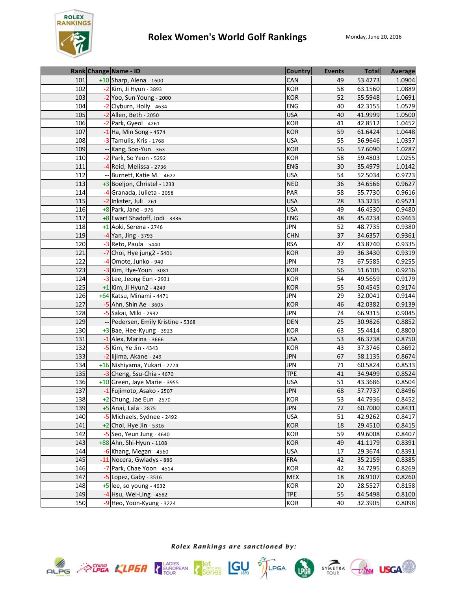

|     |    | Rank Change Name - ID           | <b>Country</b> | <b>Events</b> | <b>Total</b> | <b>Average</b> |
|-----|----|---------------------------------|----------------|---------------|--------------|----------------|
| 101 |    | +10 Sharp, Alena - 1600         | <b>CAN</b>     | 49            | 53.4273      | 1.0904         |
| 102 |    | -2 Kim, Ji Hyun - 3893          | <b>KOR</b>     | 58            | 63.1560      | 1.0889         |
| 103 |    | -2 Yoo, Sun Young - 2000        | <b>KOR</b>     | 52            | 55.5948      | 1.0691         |
| 104 |    | Clyburn, Holly - 4634           | <b>ENG</b>     | 40            | 42.3155      | 1.0579         |
| 105 |    | $-2$ Allen, Beth - 2050         | <b>USA</b>     | 40            | 41.9999      | 1.0500         |
| 106 |    | Park, Gyeol - 4261              | <b>KOR</b>     | 41            | 42.8512      | 1.0452         |
| 107 |    | $-1$ Ha, Min Song - 4574        | <b>KOR</b>     | 59            | 61.6424      | 1.0448         |
| 108 |    | -3 Tamulis, Kris - 1768         | <b>USA</b>     | 55            | 56.9646      | 1.0357         |
| 109 |    | Kang, Soo-Yun - 363             | <b>KOR</b>     | 56            | 57.6090      | 1.0287         |
| 110 |    | $-2$ Park, So Yeon - 5292       | KOR            | 58            | 59.4803      | 1.0255         |
| 111 |    | -4 Reid, Melissa - 2736         | ENG            | 30            | 35.4979      | 1.0142         |
| 112 |    | -- Burnett, Katie M. - 4622     | <b>USA</b>     | 54            | 52.5034      | 0.9723         |
| 113 |    | +3 Boeljon, Christel - 1233     | <b>NED</b>     | 36            | 34.6566      | 0.9627         |
| 114 |    | -4 Granada, Julieta - 2058      | PAR            | 58            | 55.7730      | 0.9616         |
| 115 |    | -2 Inkster, Juli - 261          | <b>USA</b>     | 28            | 33.3235      | 0.9521         |
| 116 |    | +8 Park, Jane - 976             | <b>USA</b>     | 49            | 46.4530      | 0.9480         |
| 117 |    | +8 Ewart Shadoff, Jodi - 3336   | <b>ENG</b>     | 48            | 45.4234      | 0.9463         |
| 118 |    | +1 Aoki, Serena - 2746          | <b>JPN</b>     | 52            | 48.7735      | 0.9380         |
| 119 |    | -4 Yan, Jing - 3793             | <b>CHN</b>     | 37            | 34.6357      | 0.9361         |
| 120 |    | $-3$ Reto, Paula - 5440         | <b>RSA</b>     | 47            | 43.8740      | 0.9335         |
| 121 |    | Choi, Hye jung2 - 5401          | <b>KOR</b>     | 39            | 36.3430      | 0.9319         |
| 122 |    | Omote, Junko - 940              | <b>JPN</b>     | 73            | 67.5585      | 0.9255         |
| 123 |    | -3 Kim, Hye-Youn - 3081         | <b>KOR</b>     | 56            | 51.6105      | 0.9216         |
| 124 |    | $-3$ Lee, Jeong Eun - 2931      | <b>KOR</b>     | 54            | 49.5659      | 0.9179         |
| 125 |    | $+1$ Kim, Ji Hyun2 - 4249       | <b>KOR</b>     | 55            | 50.4545      | 0.9174         |
| 126 |    | +64 Katsu, Minami - 4471        | <b>JPN</b>     | 29            | 32.0041      | 0.9144         |
| 127 |    | -5 Ahn, Shin Ae - 3605          | <b>KOR</b>     | 46            | 42.0382      | 0.9139         |
| 128 |    | -5 Sakai, Miki - 2932           | <b>JPN</b>     | 74            | 66.9315      | 0.9045         |
| 129 | -- | Pedersen, Emily Kristine - 5368 | <b>DEN</b>     | 25            | 30.9826      | 0.8852         |
| 130 |    | $+3$ Bae, Hee-Kyung - 3923      | KOR            | 63            | 55.4414      | 0.8800         |
| 131 |    | $-1$ Alex, Marina - 3666        | <b>USA</b>     | 53            | 46.3738      | 0.8750         |
| 132 |    | -5 Kim, Ye Jin - 4343           | <b>KOR</b>     | 43            | 37.3746      | 0.8692         |
| 133 |    | -2 lijima, Akane - 249          | <b>JPN</b>     | 67            | 58.1135      | 0.8674         |
| 134 |    | +16 Nishiyama, Yukari - 2724    | <b>JPN</b>     | 71            | 60.5824      | 0.8533         |
| 135 |    | $-3$ Cheng, Ssu-Chia - 4670     | <b>TPE</b>     | 41            | 34.9499      | 0.8524         |
| 136 |    | +10 Green, Jaye Marie - 3955    | <b>USA</b>     | 51            | 43.3686      | 0.8504         |
| 137 |    | -1 Fujimoto, Asako - 2507       | <b>JPN</b>     | 68            | 57.7737      | 0.8496         |
| 138 |    | +2 Chung, Jae Eun - 2570        | <b>KOR</b>     | 53            | 44.7936      | 0.8452         |
| 139 |    | +5 Anai, Lala - 2875            | <b>JPN</b>     | 72            | 60.7000      | 0.8431         |
| 140 |    | -5 Michaels, Sydnee - 2492      | <b>USA</b>     | 51            | 42.9262      | 0.8417         |
| 141 |    | $+2$ Choi, Hye Jin - 5316       | <b>KOR</b>     | 18            | 29.4510      | 0.8415         |
| 142 |    | $-5$ Seo, Yeun Jung - 4640      | KOR            | 59            | 49.6008      | 0.8407         |
| 143 |    | +88 Ahn, Shi-Hyun - 1108        | <b>KOR</b>     | 49            | 41.1179      | 0.8391         |
| 144 |    | $-6$ Khang, Megan - 4560        | <b>USA</b>     | 17            | 29.3674      | 0.8391         |
| 145 |    | -11 Nocera, Gwladys - 886       | <b>FRA</b>     | 42            | 35.2159      | 0.8385         |
| 146 |    | -7 Park, Chae Yoon - 4514       | <b>KOR</b>     | 42            | 34.7295      | 0.8269         |
| 147 |    | -5 Lopez, Gaby - 3516           | <b>MEX</b>     | 18            | 28.9107      | 0.8260         |
| 148 |    | $+5$ lee, so young - 4632       | KOR            | 20            | 28.5527      | 0.8158         |
| 149 |    | $-4$ Hsu, Wei-Ling - 4582       | <b>TPE</b>     | 55            | 44.5498      | 0.8100         |
| 150 |    | -9 Heo, Yoon-Kyung - 3224       | KOR            | 40            | 32.3905      | 0.8098         |







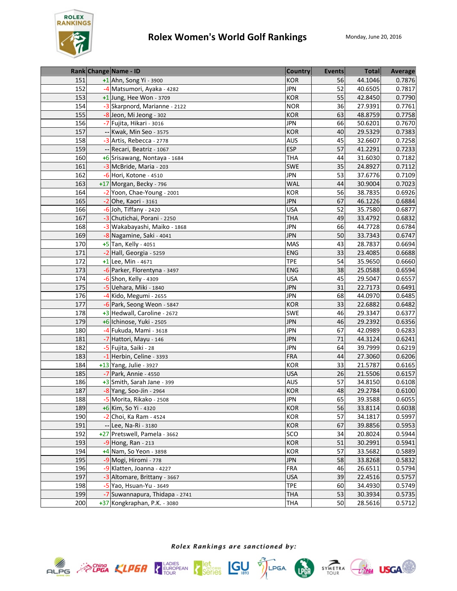

|     | Rank Change Name - ID          | <b>Country</b> | <b>Events</b> | <b>Total</b> | Average |
|-----|--------------------------------|----------------|---------------|--------------|---------|
| 151 | +1 Ahn, Song Yi - 3900         | <b>KOR</b>     | 56            | 44.1046      | 0.7876  |
| 152 | -4 Matsumori, Ayaka - 4282     | <b>JPN</b>     | 52            | 40.6505      | 0.7817  |
| 153 | +1 Jung, Hee Won - 3709        | <b>KOR</b>     | 55            | 42.8450      | 0.7790  |
| 154 | -3 Skarpnord, Marianne - 2122  | <b>NOR</b>     | 36            | 27.9391      | 0.7761  |
| 155 | -8 Jeon, Mi Jeong - 302        | <b>KOR</b>     | 63            | 48.8759      | 0.7758  |
| 156 | -7 Fujita, Hikari - 3016       | <b>JPN</b>     | 66            | 50.6201      | 0.7670  |
| 157 | Kwak, Min Seo - 3575           | <b>KOR</b>     | 40            | 29.5329      | 0.7383  |
| 158 | -3 Artis, Rebecca - 2778       | <b>AUS</b>     | 45            | 32.6607      | 0.7258  |
| 159 | -- Recari, Beatriz - 1067      | <b>ESP</b>     | 57            | 41.2291      | 0.7233  |
| 160 | +6 Srisawang, Nontaya - 1684   | <b>THA</b>     | 44            | 31.6030      | 0.7182  |
| 161 | -3 McBride, Maria - 203        | <b>SWE</b>     | 35            | 24.8927      | 0.7112  |
| 162 | $-6$ Hori, Kotone - 4510       | <b>JPN</b>     | 53            | 37.6776      | 0.7109  |
| 163 | +17 Morgan, Becky - 796        | <b>WAL</b>     | 44            | 30.9004      | 0.7023  |
| 164 | -2 Yoon, Chae-Young - 2001     | <b>KOR</b>     | 56            | 38.7835      | 0.6926  |
| 165 | $-2$ Ohe, Kaori - 3161         | <b>JPN</b>     | 67            | 46.1226      | 0.6884  |
| 166 | -6 Joh, Tiffany - 2420         | <b>USA</b>     | 52            | 35.7580      | 0.6877  |
| 167 | -3 Chutichai, Porani - 2250    | <b>THA</b>     | 49            | 33.4792      | 0.6832  |
| 168 | -3 Wakabayashi, Maiko - 1868   | <b>JPN</b>     | 66            | 44.7728      | 0.6784  |
| 169 | -8 Nagamine, Saki - 4041       | <b>JPN</b>     | 50            | 33.7343      | 0.6747  |
| 170 | +5 Tan, Kelly - 4051           | <b>MAS</b>     | 43            | 28.7837      | 0.6694  |
| 171 | -2 Hall, Georgia - 5259        | <b>ENG</b>     | 33            | 23.4085      | 0.6688  |
| 172 | +1 Lee, Min - 4671             | <b>TPE</b>     | 54            | 35.9650      | 0.6660  |
| 173 | -6 Parker, Florentyna - 3497   | <b>ENG</b>     | 38            | 25.0588      | 0.6594  |
| 174 | -6 Shon, Kelly - 4309          | <b>USA</b>     | 45            | 29.5047      | 0.6557  |
| 175 | -5 Uehara, Miki - 1840         | <b>JPN</b>     | 31            | 22.7173      | 0.6491  |
| 176 | -4 Kido, Megumi - 2655         | <b>JPN</b>     | 68            | 44.0970      | 0.6485  |
| 177 | -6 Park, Seong Weon - 5847     | <b>KOR</b>     | 33            | 22.6882      | 0.6482  |
| 178 | +3 Hedwall, Caroline - 2672    | <b>SWE</b>     | 46            | 29.3347      | 0.6377  |
| 179 | +6 Ichinose, Yuki - 2505       | <b>JPN</b>     | 46            | 29.2392      | 0.6356  |
| 180 | -4 Fukuda, Mami - 3618         | <b>JPN</b>     | 67            | 42.0989      | 0.6283  |
| 181 | -7 Hattori, Mayu - 146         | <b>JPN</b>     | 71            | 44.3124      | 0.6241  |
| 182 | -5 Fujita, Saiki - 28          | <b>JPN</b>     | 64            | 39.7999      | 0.6219  |
| 183 | -1 Herbin, Celine - 3393       | <b>FRA</b>     | 44            | 27.3060      | 0.6206  |
| 184 | +13 Yang, Julie - 3927         | KOR            | 33            | 21.5787      | 0.6165  |
| 185 | -7 Park, Annie - 4550          | <b>USA</b>     | 26            | 21.5506      | 0.6157  |
| 186 | +3 Smith, Sarah Jane - 399     | <b>AUS</b>     | 57            | 34.8150      | 0.6108  |
| 187 | -8 Yang, Soo-Jin - 2964        | <b>KOR</b>     | 48            | 29.2784      | 0.6100  |
| 188 | -5 Morita, Rikako - 2508       | <b>JPN</b>     | 65            | 39.3588      | 0.6055  |
| 189 | +6 Kim, So Yi - 4320           | <b>KOR</b>     | 56            | 33.8114      | 0.6038  |
| 190 | $-2$ Choi, Ka Ram - 4524       | <b>KOR</b>     | 57            | 34.1817      | 0.5997  |
| 191 | -- Lee, Na-Ri - 3180           | <b>KOR</b>     | 67            | 39.8856      | 0.5953  |
| 192 | +27 Pretswell, Pamela - 3662   | SCO            | 34            | 20.8024      | 0.5944  |
| 193 | $-9$ Hong, Ran - 213           | <b>KOR</b>     | 51            | 30.2991      | 0.5941  |
| 194 | +4 Nam, So Yeon - 3898         | KOR            | 57            | 33.5682      | 0.5889  |
| 195 | -9 Mogi, Hiromi - 778          | <b>JPN</b>     | 58            | 33.8268      | 0.5832  |
| 196 | -9 Klatten, Joanna - 4227      | <b>FRA</b>     | 46            | 26.6511      | 0.5794  |
| 197 | Altomare, Brittany - 3667      | <b>USA</b>     | 39            | 22.4516      | 0.5757  |
| 198 | -5 Yao, Hsuan-Yu - 3649        | <b>TPE</b>     | 60            | 34.4930      | 0.5749  |
| 199 | -7 Suwannapura, Thidapa - 2741 | <b>THA</b>     | 53            | 30.3934      | 0.5735  |
| 200 | +37 Kongkraphan, P.K. - 3080   | <b>THA</b>     | 50            | 28.5616      | 0.5712  |





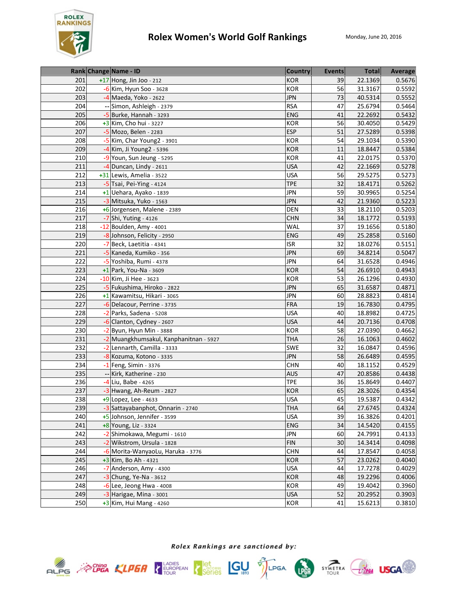

|     | Rank Change Name - ID                  | <b>Country</b> | <b>Events</b> | <b>Total</b> | Average |
|-----|----------------------------------------|----------------|---------------|--------------|---------|
| 201 | +17 Hong, Jin Joo - 212                | <b>KOR</b>     | 39            | 22.1369      | 0.5676  |
| 202 | $-6$ Kim, Hyun Soo - 3628              | <b>KOR</b>     | 56            | 31.3167      | 0.5592  |
| 203 | $-4$ Maeda, Yoko - 2622                | <b>JPN</b>     | 73            | 40.5314      | 0.5552  |
| 204 | -- Simon, Ashleigh - 2379              | <b>RSA</b>     | 47            | 25.6794      | 0.5464  |
| 205 | $-5$ Burke, Hannah - 3293              | <b>ENG</b>     | 41            | 22.2692      | 0.5432  |
| 206 | $+3$ Kim, Cho hui - 3227               | <b>KOR</b>     | 56            | 30.4050      | 0.5429  |
| 207 | -5 Mozo, Belen - 2283                  | <b>ESP</b>     | 51            | 27.5289      | 0.5398  |
| 208 | -5 Kim, Char Young2 - 3901             | <b>KOR</b>     | 54            | 29.1034      | 0.5390  |
| 209 | -4 Kim, Ji Young2 - 5396               | <b>KOR</b>     | 11            | 18.8447      | 0.5384  |
| 210 | -9 Youn, Sun Jeung - 5295              | <b>KOR</b>     | 41            | 22.0175      | 0.5370  |
| 211 | -4 Duncan, Lindy - 2611                | <b>USA</b>     | 42            | 22.1669      | 0.5278  |
| 212 | +31 Lewis, Amelia - 3522               | <b>USA</b>     | 56            | 29.5275      | 0.5273  |
| 213 | -5 Tsai, Pei-Ying - 4124               | <b>TPE</b>     | 32            | 18.4171      | 0.5262  |
| 214 | +1 Uehara, Ayako - 1839                | <b>JPN</b>     | 59            | 30.9965      | 0.5254  |
| 215 | -3 Mitsuka, Yuko - 1563                | <b>JPN</b>     | 42            | 21.9360      | 0.5223  |
| 216 | +6 Jorgensen, Malene - 2389            | <b>DEN</b>     | 33            | 18.2110      | 0.5203  |
| 217 | $-7$ Shi, Yuting - 4126                | <b>CHN</b>     | 34            | 18.1772      | 0.5193  |
| 218 | -12 Boulden, Amy - 4001                | WAL            | 37            | 19.1656      | 0.5180  |
| 219 | -8 Johnson, Felicity - 2950            | <b>ENG</b>     | 49            | 25.2858      | 0.5160  |
| 220 | $-7$ Beck, Laetitia - 4341             | <b>ISR</b>     | 32            | 18.0276      | 0.5151  |
| 221 | -5 Kaneda, Kumiko - 356                | <b>JPN</b>     | 69            | 34.8214      | 0.5047  |
| 222 | -5 Yoshiba, Rumi - 4378                | <b>JPN</b>     | 64            | 31.6528      | 0.4946  |
| 223 | +1 Park, You-Na - 3609                 | <b>KOR</b>     | 54            | 26.6910      | 0.4943  |
| 224 | -10 Kim, Ji Hee - 3623                 | <b>KOR</b>     | 53            | 26.1296      | 0.4930  |
| 225 | -5 Fukushima, Hiroko - 2822            | <b>JPN</b>     | 65            | 31.6587      | 0.4871  |
| 226 | +1 Kawamitsu, Hikari - 3065            | <b>JPN</b>     | 60            | 28.8823      | 0.4814  |
| 227 | -6 Delacour, Perrine - 3735            | <b>FRA</b>     | 19            | 16.7830      | 0.4795  |
| 228 | -2 Parks, Sadena - 5208                | <b>USA</b>     | 40            | 18.8982      | 0.4725  |
| 229 | -6 Clanton, Cydney - 2607              | <b>USA</b>     | 44            | 20.7136      | 0.4708  |
| 230 | $-2$ Byun, Hyun Min - 3888             | KOR            | 58            | 27.0390      | 0.4662  |
| 231 | -2 Muangkhumsakul, Kanphanitnan - 5927 | <b>THA</b>     | 26            | 16.1063      | 0.4602  |
| 232 | -2 Lennarth, Camilla - 3333            | SWE            | 32            | 16.0847      | 0.4596  |
| 233 | -8 Kozuma, Kotono - 3335               | <b>JPN</b>     | 58            | 26.6489      | 0.4595  |
| 234 | $-1$ Feng, Simin - 3376                | <b>CHN</b>     | 40            | 18.1152      | 0.4529  |
| 235 | Kirk, Katherine - 230                  | <b>AUS</b>     | 47            | 20.8586      | 0.4438  |
| 236 | -4 Liu, Babe - 4265                    | <b>TPE</b>     | 36            | 15.8649      | 0.4407  |
| 237 | -3 Hwang, Ah-Reum - 2827               | <b>KOR</b>     | 65            | 28.3026      | 0.4354  |
| 238 | $+9$ Lopez, Lee - 4633                 | <b>USA</b>     | 45            | 19.5387      | 0.4342  |
| 239 | -3 Sattayabanphot, Onnarin - 2740      | <b>THA</b>     | 64            | 27.6745      | 0.4324  |
| 240 | +5 Johnson, Jennifer - 3599            | <b>USA</b>     | 39            | 16.3826      | 0.4201  |
| 241 | +8 Young, Liz - 3324                   | ENG            | 34            | 14.5420      | 0.4155  |
| 242 | -2 Shimokawa, Megumi - 1610            | <b>JPN</b>     | 60            | 24.7991      | 0.4133  |
| 243 | -2 Wikstrom, Ursula - 1828             | <b>FIN</b>     | 30            | 14.3414      | 0.4098  |
| 244 | -6 Morita-WanyaoLu, Haruka - 3776      | <b>CHN</b>     | 44            | 17.8547      | 0.4058  |
| 245 | $+3$ Kim, Bo Ah - 4321                 | <b>KOR</b>     | 57            | 23.0262      | 0.4040  |
| 246 | -7 Anderson, Amy - 4300                | <b>USA</b>     | 44            | 17.7278      | 0.4029  |
| 247 | $-3$ Chung, Ye-Na - 3612               | <b>KOR</b>     | 48            | 19.2296      | 0.4006  |
| 248 | $-6$ Lee, Jeong Hwa - 4008             | KOR            | 49            | 19.4042      | 0.3960  |
| 249 | -3 Harigae, Mina - 3001                | <b>USA</b>     | 52            | 20.2952      | 0.3903  |
| 250 | $+3$ Kim, Hui Mang - 4260              | KOR            | 41            | 15.6213      | 0.3810  |





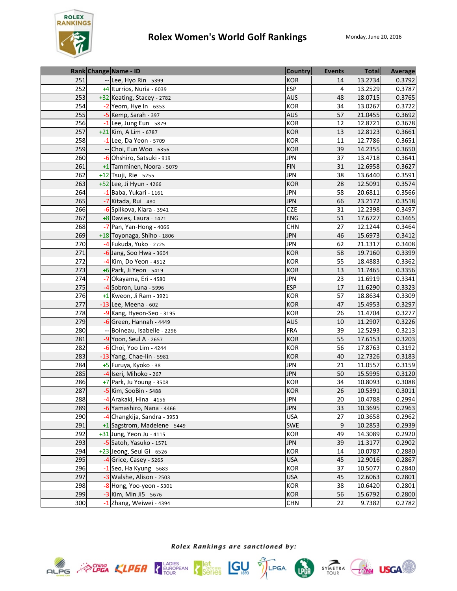

|     |    | Rank Change Name - ID        | <b>Country</b> | Events | <b>Total</b> | <b>Average</b> |
|-----|----|------------------------------|----------------|--------|--------------|----------------|
| 251 |    | -- Lee, Hyo Rin - 5399       | <b>KOR</b>     | 14     | 13.2734      | 0.3792         |
| 252 |    | +4 Iturrios, Nuria - 6039    | <b>ESP</b>     | 4      | 13.2529      | 0.3787         |
| 253 |    | +32 Keating, Stacey - 2782   | <b>AUS</b>     | 48     | 18.0715      | 0.3765         |
| 254 |    | $-2$ Yeom, Hye In - 6353     | <b>KOR</b>     | 34     | 13.0267      | 0.3722         |
| 255 |    | -5 Kemp, Sarah - 397         | <b>AUS</b>     | 57     | 21.0455      | 0.3692         |
| 256 |    | $-1$ Lee, Jung Eun - 5879    | KOR            | 12     | 12.8721      | 0.3678         |
| 257 |    | +21 Kim, A Lim - 6787        | <b>KOR</b>     | 13     | 12.8123      | 0.3661         |
| 258 |    | $-1$ Lee, Da Yeon - 5709     | KOR            | 11     | 12.7786      | 0.3651         |
| 259 |    | -- Choi, Eun Woo - 6356      | <b>KOR</b>     | 39     | 14.2355      | 0.3650         |
| 260 |    | -6 Ohshiro, Satsuki - 919    | <b>JPN</b>     | 37     | 13.4718      | 0.3641         |
| 261 |    | +1 Tamminen, Noora - 5079    | <b>FIN</b>     | 31     | 12.6958      | 0.3627         |
| 262 |    | +12 Tsuji, Rie - 5255        | <b>JPN</b>     | 38     | 13.6440      | 0.3591         |
| 263 |    | +52 Lee, Ji Hyun - 4266      | <b>KOR</b>     | 28     | 12.5091      | 0.3574         |
| 264 |    | $-1$ Baba, Yukari - 1161     | <b>JPN</b>     | 58     | 20.6811      | 0.3566         |
| 265 |    | -7 Kitada, Rui - 480         | <b>JPN</b>     | 66     | 23.2172      | 0.3518         |
| 266 |    | -6 Spilkova, Klara - 3941    | <b>CZE</b>     | 31     | 12.2398      | 0.3497         |
| 267 |    | $+8$ Davies, Laura - 1421    | <b>ENG</b>     | 51     | 17.6727      | 0.3465         |
| 268 |    | $-7$ Pan, Yan-Hong - 4066    | <b>CHN</b>     | 27     | 12.1244      | 0.3464         |
| 269 |    | +18 Toyonaga, Shiho - 1806   | <b>JPN</b>     | 46     | 15.6973      | 0.3412         |
| 270 |    | -4 Fukuda, Yuko - 2725       | <b>JPN</b>     | 62     | 21.1317      | 0.3408         |
| 271 |    | $-6$ Jang, Soo Hwa - 3604    | <b>KOR</b>     | 58     | 19.7160      | 0.3399         |
| 272 |    | -4 Kim, Do Yeon - 4512       | <b>KOR</b>     | 55     | 18.4883      | 0.3362         |
| 273 |    | +6 Park, Ji Yeon - 5419      | <b>KOR</b>     | 13     | 11.7465      | 0.3356         |
| 274 | -7 | Okayama, Eri - 4580          | <b>JPN</b>     | 23     | 11.6919      | 0.3341         |
| 275 |    | $-4$ Sobron, Luna - 5996     | <b>ESP</b>     | 17     | 11.6290      | 0.3323         |
| 276 |    | $+1$ Kweon, Ji Ram - 3921    | <b>KOR</b>     | 57     | 18.8634      | 0.3309         |
| 277 |    | $-13$ Lee, Meena - 602       | KOR            | 47     | 15.4953      | 0.3297         |
| 278 |    | -9 Kang, Hyeon-Seo - 3195    | KOR            | 26     | 11.4704      | 0.3277         |
| 279 |    | $-6$ Green, Hannah - 4449    | <b>AUS</b>     | 10     | 11.2907      | 0.3226         |
| 280 |    | Boineau, Isabelle - 2296     | <b>FRA</b>     | 39     | 12.5293      | 0.3213         |
| 281 |    | -9 Yoon, Seul A - 2657       | <b>KOR</b>     | 55     | 17.6153      | 0.3203         |
| 282 |    | $-6$ Choi, Yoo Lim - 4244    | <b>KOR</b>     | 56     | 17.8763      | 0.3192         |
| 283 |    | -13 Yang, Chae-lin - 5981    | <b>KOR</b>     | 40     | 12.7326      | 0.3183         |
| 284 |    | +5 Furuya, Kyoko - 38        | <b>JPN</b>     | 21     | 11.0557      | 0.3159         |
| 285 |    | -4 Iseri, Mihoko - 267       | <b>JPN</b>     | 50     | 15.5995      | 0.3120         |
| 286 |    | +7 Park, Ju Young - 3508     | <b>KOR</b>     | 34     | 10.8093      | 0.3088         |
| 287 |    | -5 Kim, SooBin - 5488        | <b>KOR</b>     | 26     | 10.5391      | 0.3011         |
| 288 |    | -4 Arakaki, Hina - 4156      | JPN            | 20     | 10.4788      | 0.2994         |
| 289 |    | -6 Yamashiro, Nana - 4466    | <b>JPN</b>     | 33     | 10.3695      | 0.2963         |
| 290 | -4 | Changkija, Sandra - 3953     | <b>USA</b>     | 27     | 10.3658      | 0.2962         |
| 291 |    | +1 Sagstrom, Madelene - 5449 | <b>SWE</b>     | 9      | 10.2853      | 0.2939         |
| 292 |    | +31 Jung, Yeon Ju - 4115     | <b>KOR</b>     | 49     | 14.3089      | 0.2920         |
| 293 |    | -5 Satoh, Yasuko - 1571      | <b>JPN</b>     | 39     | 11.3177      | 0.2902         |
| 294 |    | +23 Jeong, Seul Gi - 6526    | KOR            | 14     | 10.0787      | 0.2880         |
| 295 |    | -4 Grice, Casey - 5265       | <b>USA</b>     | 45     | 12.9016      | 0.2867         |
| 296 |    | -1 Seo, Ha Kyung - 5683      | KOR            | 37     | 10.5077      | 0.2840         |
| 297 |    | -3 Walshe, Alison - 2503     | <b>USA</b>     | 45     | 12.6063      | 0.2801         |
| 298 |    | -8 Hong, Yoo-yeon - 5301     | KOR            | 38     | 10.6420      | 0.2801         |
| 299 |    | -3 Kim, Min Ji5 - 5676       | <b>KOR</b>     | 56     | 15.6792      | 0.2800         |
| 300 |    | -1 Zhang, Weiwei - 4394      | <b>CHN</b>     | 22     | 9.7382       | 0.2782         |









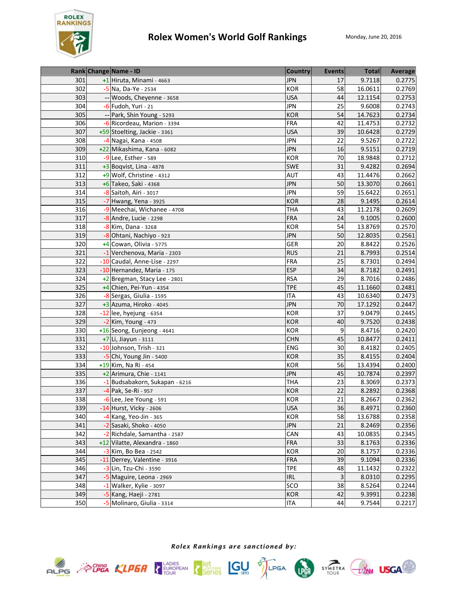

|     | Rank Change Name - ID          | <b>Country</b> | <b>Events</b> | <b>Total</b> | Average |
|-----|--------------------------------|----------------|---------------|--------------|---------|
| 301 | +1 Hiruta, Minami - 4663       | <b>JPN</b>     | 17            | 9.7118       | 0.2775  |
| 302 | -5 Na, Da-Ye - 2534            | <b>KOR</b>     | 58            | 16.0611      | 0.2769  |
| 303 | -- Woods, Cheyenne - 3658      | <b>USA</b>     | 44            | 12.1154      | 0.2753  |
| 304 | -6 Fudoh, Yuri - 21            | <b>JPN</b>     | 25            | 9.6008       | 0.2743  |
| 305 | -- Park, Shin Young - 5293     | <b>KOR</b>     | 54            | 14.7623      | 0.2734  |
| 306 | -6 Ricordeau, Marion - 3394    | <b>FRA</b>     | 42            | 11.4753      | 0.2732  |
| 307 | +59 Stoelting, Jackie - 3361   | <b>USA</b>     | 39            | 10.6428      | 0.2729  |
| 308 | -4 Nagai, Kana - 4508          | <b>JPN</b>     | 22            | 9.5267       | 0.2722  |
| 309 | +22 Mikashima, Kana - 6082     | <b>JPN</b>     | 16            | 9.5151       | 0.2719  |
| 310 | -9 Lee, Esther - 589           | <b>KOR</b>     | 70            | 18.9848      | 0.2712  |
| 311 | $+3$ Boqvist, Lina - 4878      | SWE            | 31            | 9.4282       | 0.2694  |
| 312 | +9 Wolf, Christine - 4312      | <b>AUT</b>     | 43            | 11.4476      | 0.2662  |
| 313 | +6 Takeo, Saki - 4368          | <b>JPN</b>     | 50            | 13.3070      | 0.2661  |
| 314 | -8 Saitoh, Airi - 3017         | <b>JPN</b>     | 59            | 15.6422      | 0.2651  |
| 315 | -7 Hwang, Yena - 3925          | <b>KOR</b>     | 28            | 9.1495       | 0.2614  |
| 316 | -9 Meechai, Wichanee - 4708    | <b>THA</b>     | 43            | 11.2178      | 0.2609  |
| 317 | $-8$ Andre, Lucie - 2298       | <b>FRA</b>     | 24            | 9.1005       | 0.2600  |
| 318 | -8 Kim, Dana - 3268            | <b>KOR</b>     | 54            | 13.8769      | 0.2570  |
| 319 | -8 Ohtani, Nachiyo - 923       | <b>JPN</b>     | 50            | 12.8035      | 0.2561  |
| 320 | +4 Cowan, Olivia - 5775        | GER            | 20            | 8.8422       | 0.2526  |
| 321 | -1 Verchenova, Maria - 2303    | <b>RUS</b>     | 21            | 8.7993       | 0.2514  |
| 322 | -10 Caudal, Anne-Lise - 2297   | <b>FRA</b>     | 25            | 8.7301       | 0.2494  |
| 323 | -10 Hernandez, Maria - 175     | <b>ESP</b>     | 34            | 8.7182       | 0.2491  |
| 324 | +2 Bregman, Stacy Lee - 2801   | <b>RSA</b>     | 29            | 8.7016       | 0.2486  |
| 325 | $+4$ Chien, Pei-Yun - 4354     | <b>TPE</b>     | 45            | 11.1660      | 0.2481  |
| 326 | -8 Sergas, Giulia - 1595       | <b>ITA</b>     | 43            | 10.6340      | 0.2473  |
| 327 | $+3$ Azuma, Hiroko - 4045      | <b>JPN</b>     | 70            | 17.1292      | 0.2447  |
| 328 | $-12$ lee, hyejung - 6354      | KOR            | 37            | 9.0479       | 0.2445  |
| 329 | -2 Kim, Young - 473            | <b>KOR</b>     | 40            | 9.7520       | 0.2438  |
| 330 | +16 Seong, Eunjeong - 4641     | <b>KOR</b>     | 9             | 8.4716       | 0.2420  |
| 331 | +7 Li, Jiayun - 3111           | <b>CHN</b>     | 45            | 10.8477      | 0.2411  |
| 332 | -10 Johnson, Trish - 321       | <b>ENG</b>     | 30            | 8.4182       | 0.2405  |
| 333 | -5 Chi, Young Jin - 5400       | <b>KOR</b>     | 35            | 8.4155       | 0.2404  |
| 334 | +19 Kim, Na Ri - 454           | <b>KOR</b>     | 56            | 13.4394      | 0.2400  |
| 335 | +2 Arimura, Chie - 1141        | <b>JPN</b>     | 45            | 10.7874      | 0.2397  |
| 336 | -1 Budsabakorn, Sukapan - 6216 | <b>THA</b>     | 23            | 8.3069       | 0.2373  |
| 337 | -4 Pak, Se-Ri - 957            | <b>KOR</b>     | 22            | 8.2892       | 0.2368  |
| 338 | -6 Lee, Jee Young - 591        | KOR            | ${\bf 21}$    | 8.2667       | 0.2362  |
| 339 | -14 Hurst, Vicky - 2606        | <b>USA</b>     | 36            | 8.4971       | 0.2360  |
| 340 | $-4$ Kang, Yeo-Jin - 365       | KOR            | 58            | 13.6788      | 0.2358  |
| 341 | -2 Sasaki, Shoko - 4050        | <b>JPN</b>     | 21            | 8.2469       | 0.2356  |
| 342 | -2 Richdale, Samantha - 2587   | CAN            | 43            | 10.0835      | 0.2345  |
| 343 | +12 Vilatte, Alexandra - 1860  | <b>FRA</b>     | 33            | 8.1763       | 0.2336  |
| 344 | $-3$ Kim, Bo Bea - 2542        | KOR            | 20            | 8.1757       | 0.2336  |
| 345 | -11 Derrey, Valentine - 3916   | FRA            | 39            | 9.1094       | 0.2336  |
| 346 | -3 Lin, Tzu-Chi - 3590         | <b>TPE</b>     | 48            | 11.1432      | 0.2322  |
| 347 | -5 Maguire, Leona - 2969       | <b>IRL</b>     | 3             | 8.0310       | 0.2295  |
| 348 | -1 Walker, Kylie - 3097        | SCO            | 38            | 8.5264       | 0.2244  |
| 349 | -5 Kang, Haeji - 2781          | <b>KOR</b>     | 42            | 9.3991       | 0.2238  |
| 350 | -5 Molinaro, Giulia - 3314     | <b>ITA</b>     | 44            | 9.7544       | 0.2217  |







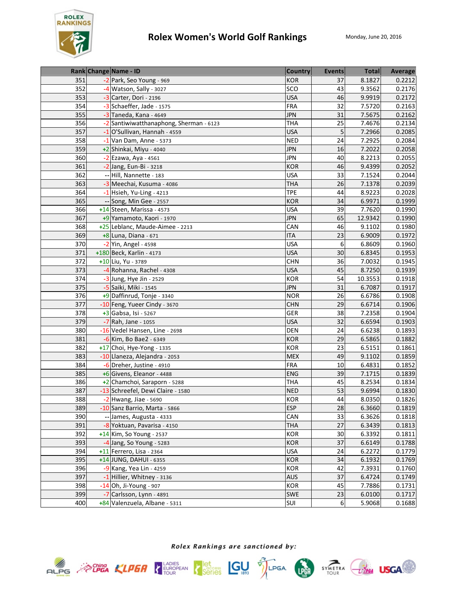

|     | Rank Change Name - ID                   | <b>Country</b> | <b>Events</b> | <b>Total</b> | Average |
|-----|-----------------------------------------|----------------|---------------|--------------|---------|
| 351 | -2 Park, Seo Young - 969                | <b>KOR</b>     | 37            | 8.1827       | 0.2212  |
| 352 | -4 Watson, Sally - 3027                 | SCO            | 43            | 9.3562       | 0.2176  |
| 353 | $-3$ Carter, Dori - 2196                | <b>USA</b>     | 46            | 9.9919       | 0.2172  |
| 354 | -3 Schaeffer, Jade - 1575               | <b>FRA</b>     | 32            | 7.5720       | 0.2163  |
| 355 | -3 Taneda, Kana - 4649                  | <b>JPN</b>     | 31            | 7.5675       | 0.2162  |
| 356 | -2 Santiwiwatthanaphong, Sherman - 6123 | <b>THA</b>     | 25            | 7.4676       | 0.2134  |
| 357 | -1 O'Sullivan, Hannah - 4559            | <b>USA</b>     | 5             | 7.2966       | 0.2085  |
| 358 | $-1$ Van Dam, Anne - 5373               | <b>NED</b>     | 24            | 7.2925       | 0.2084  |
| 359 | +2 Shinkai, Miyu - 4040                 | <b>JPN</b>     | 16            | 7.2022       | 0.2058  |
| 360 | -2 Ezawa, Aya - 4561                    | <b>JPN</b>     | 40            | 8.2213       | 0.2055  |
| 361 | -2 Jang, Eun-Bi - 3218                  | <b>KOR</b>     | 46            | 9.4399       | 0.2052  |
| 362 | -- Hill, Nannette - 183                 | <b>USA</b>     | 33            | 7.1524       | 0.2044  |
| 363 | -3 Meechai, Kusuma - 4086               | <b>THA</b>     | 26            | 7.1378       | 0.2039  |
| 364 | $-1$ Hsieh, Yu-Ling - 4213              | <b>TPE</b>     | 44            | 8.9223       | 0.2028  |
| 365 | -- Song, Min Gee - 2557                 | <b>KOR</b>     | 34            | 6.9971       | 0.1999  |
| 366 | +14 Steen, Marissa - 4573               | <b>USA</b>     | 39            | 7.7620       | 0.1990  |
| 367 | +9 Yamamoto, Kaori - 1970               | <b>JPN</b>     | 65            | 12.9342      | 0.1990  |
| 368 | +25 Leblanc, Maude-Aimee - 2213         | CAN            | 46            | 9.1102       | 0.1980  |
| 369 | +8 Luna, Diana - 671                    | <b>ITA</b>     | 23            | 6.9009       | 0.1972  |
| 370 | -2 Yin, Angel - 4598                    | <b>USA</b>     | 6             | 6.8609       | 0.1960  |
| 371 | +180 Beck, Karlin - 4173                | <b>USA</b>     | 30            | 6.8345       | 0.1953  |
| 372 | +10 Liu, Yu - 3789                      | <b>CHN</b>     | 36            | 7.0032       | 0.1945  |
| 373 | -4 Rohanna, Rachel - 4308               | <b>USA</b>     | 45            | 8.7250       | 0.1939  |
| 374 | -3 Jung, Hye Jin - 2529                 | <b>KOR</b>     | 54            | 10.3553      | 0.1918  |
| 375 | -5 Saiki, Miki - 1545                   | <b>JPN</b>     | 31            | 6.7087       | 0.1917  |
| 376 | +9 Daffinrud, Tonje - 3340              | <b>NOR</b>     | 26            | 6.6786       | 0.1908  |
| 377 | -10 Feng, Yueer Cindy - 3670            | <b>CHN</b>     | 29            | 6.6714       | 0.1906  |
| 378 | $\overline{+3}$ Gabsa, Isi - 5267       | GER            | 38            | 7.2358       | 0.1904  |
| 379 | -7 Rah, Jane - 1055                     | <b>USA</b>     | 32            | 6.6594       | 0.1903  |
| 380 | -16 Vedel Hansen, Line - 2698           | <b>DEN</b>     | 24            | 6.6238       | 0.1893  |
| 381 | -6 Kim, Bo Bae2 - 6349                  | <b>KOR</b>     | 29            | 6.5865       | 0.1882  |
| 382 | +17 Choi, Hye-Yong - 1335               | <b>KOR</b>     | 23            | 6.5151       | 0.1861  |
| 383 | -10 Llaneza, Alejandra - 2053           | <b>MEX</b>     | 49            | 9.1102       | 0.1859  |
| 384 | -6 Dreher, Justine - 4910               | <b>FRA</b>     | 10            | 6.4831       | 0.1852  |
| 385 | +6 Givens, Eleanor - 4488               | <b>ENG</b>     | 39            | 7.1715       | 0.1839  |
| 386 | +2 Chamchoi, Saraporn - 5288            | <b>THA</b>     | 45            | 8.2534       | 0.1834  |
| 387 | -13 Schreefel, Dewi Claire - 1580       | <b>NED</b>     | 53            | 9.6994       | 0.1830  |
| 388 | $-2$ Hwang, Jiae - 5690                 | KOR            | 44            | 8.0350       | 0.1826  |
| 389 | -10 Sanz Barrio, Marta - 5866           | <b>ESP</b>     | 28            | 6.3660       | 0.1819  |
| 390 | -- James, Augusta - 4333                | CAN            | 33            | 6.3626       | 0.1818  |
| 391 | -8 Yoktuan, Pavarisa - 4150             | <b>THA</b>     | 27            | 6.3439       | 0.1813  |
| 392 | +14 Kim, So Young - 2537                | KOR            | 30            | 6.3392       | 0.1811  |
| 393 | -4 Jang, So Young - 5283                | <b>KOR</b>     | 37            | 6.6149       | 0.1788  |
| 394 | $+11$ Ferrero, Lisa - 2364              | <b>USA</b>     | 24            | 6.2272       | 0.1779  |
| 395 | +14 JUNG, DAHUI - 6355                  | <b>KOR</b>     | 34            | 6.1932       | 0.1769  |
| 396 | $-9$ Kang, Yea Lin - 4259               | KOR            | 42            | 7.3931       | 0.1760  |
| 397 | -1 Hillier, Whitney - 3136              | <b>AUS</b>     | 37            | 6.4724       | 0.1749  |
| 398 | $-14$ Oh, Ji-Young - 907                | KOR            | 45            | 7.7886       | 0.1731  |
| 399 | -7 Carlsson, Lynn - 4891                | <b>SWE</b>     | 23            | 6.0100       | 0.1717  |
| 400 | +84 Valenzuela, Albane - 5311           | SUI            | 6             | 5.9068       | 0.1688  |









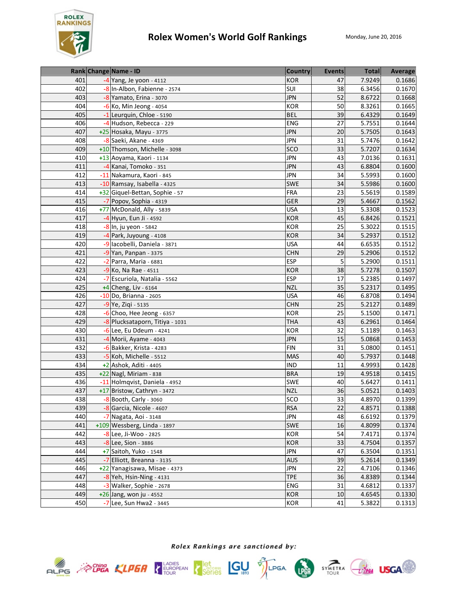

|     |       | Rank Change Name - ID           | <b>Country</b> | <b>Events</b> | <b>Total</b> | Average |
|-----|-------|---------------------------------|----------------|---------------|--------------|---------|
| 401 |       | $-4$ Yang, Je yoon - 4112       | <b>KOR</b>     | 47            | 7.9249       | 0.1686  |
| 402 |       | -8 In-Albon, Fabienne - 2574    | SUI            | 38            | 6.3456       | 0.1670  |
| 403 |       | -8 Yamato, Erina - 3070         | <b>JPN</b>     | 52            | 8.6722       | 0.1668  |
| 404 |       | $-6$ Ko, Min Jeong - 4054       | <b>KOR</b>     | 50            | 8.3261       | 0.1665  |
| 405 |       | -1 Leurquin, Chloe - 5190       | <b>BEL</b>     | 39            | 6.4329       | 0.1649  |
| 406 |       | -4 Hudson, Rebecca - 229        | <b>ENG</b>     | 27            | 5.7551       | 0.1644  |
| 407 |       | +25 Hosaka, Mayu - 3775         | <b>JPN</b>     | 20            | 5.7505       | 0.1643  |
| 408 |       | -8 Saeki, Akane - 4369          | <b>JPN</b>     | 31            | 5.7476       | 0.1642  |
| 409 |       | +10 Thomson, Michelle - 3098    | SCO            | 33            | 5.7207       | 0.1634  |
| 410 |       | +13 Aoyama, Kaori - 1134        | <b>JPN</b>     | 43            | 7.0136       | 0.1631  |
| 411 |       | -4 Kanai, Tomoko - 351          | <b>JPN</b>     | 43            | 6.8804       | 0.1600  |
| 412 | $-11$ | Nakamura, Kaori - 845           | <b>JPN</b>     | 34            | 5.5993       | 0.1600  |
| 413 |       | -10 Ramsay, Isabella - 4325     | SWE            | 34            | 5.5986       | 0.1600  |
| 414 |       | +32 Giquel-Bettan, Sophie - 57  | <b>FRA</b>     | 23            | 5.5619       | 0.1589  |
| 415 |       | -7 Popov, Sophia - 4319         | GER            | 29            | 5.4667       | 0.1562  |
| 416 |       | +77 McDonald, Ally - 5839       | <b>USA</b>     | 13            | 5.3308       | 0.1523  |
| 417 |       | -4 Hyun, Eun Ji - 4592          | <b>KOR</b>     | 45            | 6.8426       | 0.1521  |
| 418 |       | -8 In, ju yeon - 5842           | KOR            | 25            | 5.3022       | 0.1515  |
| 419 |       | -4 Park, Juyoung - 4108         | <b>KOR</b>     | 34            | 5.2937       | 0.1512  |
| 420 |       | -9 lacobelli, Daniela - 3871    | <b>USA</b>     | 44            | 6.6535       | 0.1512  |
| 421 |       | -9 Yan, Panpan - 3375           | <b>CHN</b>     | 29            | 5.2906       | 0.1512  |
| 422 |       | -2 Parra, Maria - 6881          | <b>ESP</b>     | 5             | 5.2900       | 0.1511  |
| 423 |       | -9 Ko, Na Rae - 4511            | <b>KOR</b>     | 38            | 5.7278       | 0.1507  |
| 424 |       | -7 Escuriola, Natalia - 5562    | <b>ESP</b>     | 17            | 5.2385       | 0.1497  |
| 425 |       | +4 Cheng, Liv - 6164            | <b>NZL</b>     | 35            | 5.2317       | 0.1495  |
| 426 |       | -10 Do, Brianna - 2605          | <b>USA</b>     | 46            | 6.8708       | 0.1494  |
| 427 |       | $-9$ Ye, Ziqi - 5135            | <b>CHN</b>     | 25            | 5.2127       | 0.1489  |
| 428 |       | $-6$ Choo, Hee Jeong - 6357     | KOR            | 25            | 5.1500       | 0.1471  |
| 429 |       | -8 Plucksataporn, Titiya - 1031 | <b>THA</b>     | 43            | 6.2961       | 0.1464  |
| 430 |       | $-6$ Lee, Eu Ddeum - 4241       | <b>KOR</b>     | 32            | 5.1189       | 0.1463  |
| 431 |       | -4 Morii, Ayame - 4043          | <b>JPN</b>     | 15            | 5.0868       | 0.1453  |
| 432 |       | -6 Bakker, Krista - 4283        | <b>FIN</b>     | 31            | 5.0800       | 0.1451  |
| 433 |       | -5 Koh, Michelle - 5512         | <b>MAS</b>     | 40            | 5.7937       | 0.1448  |
| 434 |       | +2 Ashok, Aditi - 4405          | <b>IND</b>     | 11            | 4.9993       | 0.1428  |
| 435 |       | +22 Nagl, Miriam - 838          | <b>BRA</b>     | 19            | 4.9518       | 0.1415  |
| 436 |       | -11 Holmqvist, Daniela - 4952   | <b>SWE</b>     | 40            | 5.6427       | 0.1411  |
| 437 |       | +17 Bristow, Cathryn - 3472     | <b>NZL</b>     | 36            | 5.0521       | 0.1403  |
| 438 |       | -8 Booth, Carly - 3060          | SCO            | 33            | 4.8970       | 0.1399  |
| 439 |       | -8 Garcia, Nicole - 4607        | <b>RSA</b>     | 22            | 4.8571       | 0.1388  |
| 440 |       | -7 Nagata, Aoi - 3148           | JPN            | 48            | 6.6192       | 0.1379  |
| 441 |       | +109 Wessberg, Linda - 1897     | <b>SWE</b>     | 16            | 4.8099       | 0.1374  |
| 442 |       | -8 Lee, Ji-Woo - 2825           | <b>KOR</b>     | 54            | 7.4171       | 0.1374  |
| 443 |       | -8 Lee, Sion - 3886             | <b>KOR</b>     | 33            | 4.7504       | 0.1357  |
| 444 |       | +7 Saitoh, Yuko - 1548          | <b>JPN</b>     | 47            | 6.3504       | 0.1351  |
| 445 |       | -7 Elliott, Breanna - 3135      | <b>AUS</b>     | 39            | 5.2614       | 0.1349  |
| 446 |       | +22 Yanagisawa, Misae - 4373    | JPN            | 22            | 4.7106       | 0.1346  |
| 447 |       | -8 Yeh, Hsin-Ning - 4131        | <b>TPE</b>     | 36            | 4.8389       | 0.1344  |
| 448 |       | -3 Walker, Sophie - 2678        | ENG            | 31            | 4.6812       | 0.1337  |
| 449 |       | +26 Jang, won ju - 4552         | <b>KOR</b>     | 10            | 4.6545       | 0.1330  |
| 450 |       | -7 Lee, Sun Hwa2 - 3445         | KOR            | 41            | 5.3822       | 0.1313  |





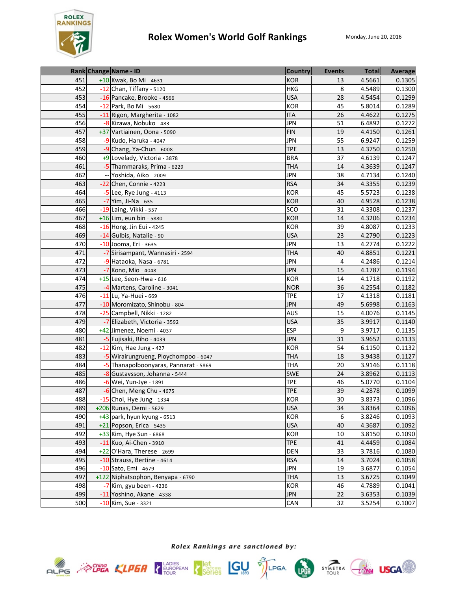

|     |    | Rank Change Name - ID                 | <b>Country</b> | <b>Events</b> | <b>Total</b> | Average |
|-----|----|---------------------------------------|----------------|---------------|--------------|---------|
| 451 |    | +10 Kwak, Bo Mi - 4631                | <b>KOR</b>     | 13            | 4.5661       | 0.1305  |
| 452 |    | -12 Chan, Tiffany - 5120              | <b>HKG</b>     | 8             | 4.5489       | 0.1300  |
| 453 |    | -16 Pancake, Brooke - 4566            | <b>USA</b>     | 28            | 4.5454       | 0.1299  |
| 454 |    | -12 Park, Bo Mi - 5680                | KOR            | 45            | 5.8014       | 0.1289  |
| 455 |    | -11 Rigon, Margherita - 1082          | <b>ITA</b>     | 26            | 4.4622       | 0.1275  |
| 456 |    | -8 Kizawa, Nobuko - 483               | <b>JPN</b>     | 51            | 6.4892       | 0.1272  |
| 457 |    | +37 Vartiainen, Oona - 5090           | <b>FIN</b>     | 19            | 4.4150       | 0.1261  |
| 458 |    | $-9$ Kudo, Haruka - 4047              | <b>JPN</b>     | 55            | 6.9247       | 0.1259  |
| 459 |    | $-9$ Chang, Ya-Chun - 6008            | <b>TPE</b>     | 13            | 4.3750       | 0.1250  |
| 460 |    | +9 Lovelady, Victoria - 3878          | <b>BRA</b>     | 37            | 4.6139       | 0.1247  |
| 461 |    | -5 Thammaraks, Prima - 6229           | <b>THA</b>     | 14            | 4.3639       | 0.1247  |
| 462 | -- | Yoshida, Aiko - 2009                  | <b>JPN</b>     | 38            | 4.7134       | 0.1240  |
| 463 |    | -22 Chen, Connie - 4223               | <b>RSA</b>     | 34            | 4.3355       | 0.1239  |
| 464 |    | $-5$ Lee, Rye Jung - 4113             | <b>KOR</b>     | 45            | 5.5723       | 0.1238  |
| 465 |    | -7 Yim, Ji-Na - 635                   | <b>KOR</b>     | 40            | 4.9528       | 0.1238  |
| 466 |    | -19 Laing, Vikki - 557                | SCO            | 31            | 4.3308       | 0.1237  |
| 467 |    | +16 Lim, eun bin - 5880               | <b>KOR</b>     | 14            | 4.3206       | 0.1234  |
| 468 |    | $-16$ Hong, Jin Eui - 4245            | <b>KOR</b>     | 39            | 4.8087       | 0.1233  |
| 469 |    | -14 Gulbis, Natalie - 90              | <b>USA</b>     | 23            | 4.2790       | 0.1223  |
| 470 |    | -10 Jooma, Eri - 3635                 | <b>JPN</b>     | 13            | 4.2774       | 0.1222  |
| 471 |    | -7 Sirisampant, Wannasiri - 2594      | <b>THA</b>     | 40            | 4.8851       | 0.1221  |
| 472 |    | -9 Hataoka, Nasa - 6781               | <b>JPN</b>     | 4             | 4.2486       | 0.1214  |
| 473 |    | -7 Kono, Mio - 4048                   | <b>JPN</b>     | 15            | 4.1787       | 0.1194  |
| 474 |    | +15 Lee, Seon-Hwa - 616               | <b>KOR</b>     | 14            | 4.1718       | 0.1192  |
| 475 |    | -4 Martens, Caroline - 3041           | <b>NOR</b>     | 36            | 4.2554       | 0.1182  |
| 476 |    | -11 Lu, Ya-Huei - 669                 | <b>TPE</b>     | 17            | 4.1318       | 0.1181  |
| 477 |    | -10 Moromizato, Shinobu - 804         | <b>JPN</b>     | 49            | 5.6998       | 0.1163  |
| 478 |    | -25 Campbell, Nikki - 1282            | AUS            | 15            | 4.0076       | 0.1145  |
| 479 |    | -7 Elizabeth, Victoria - 3592         | <b>USA</b>     | 35            | 3.9917       | 0.1140  |
| 480 |    | +42 Jimenez, Noemi - 4037             | <b>ESP</b>     | 9             | 3.9717       | 0.1135  |
| 481 |    | -5 Fujisaki, Riho - 4039              | <b>JPN</b>     | 31            | 3.9652       | 0.1133  |
| 482 |    | $-12$ Kim, Hae Jung - 427             | <b>KOR</b>     | 54            | 6.1150       | 0.1132  |
| 483 |    | -5 Wirairungrueng, Ploychompoo - 6047 | <b>THA</b>     | 18            | 3.9438       | 0.1127  |
| 484 |    | -5 Thanapolboonyaras, Pannarat - 5869 | <b>THA</b>     | 20            | 3.9146       | 0.1118  |
| 485 |    | -8 Gustavsson, Johanna - 5444         | <b>SWE</b>     | 24            | 3.8962       | 0.1113  |
| 486 |    | -6 Wei, Yun-Jye - 1891                | <b>TPE</b>     | 46            | 5.0770       | 0.1104  |
| 487 |    | $-6$ Chen, Meng Chu - 4675            | <b>TPE</b>     | 39            | 4.2878       | 0.1099  |
| 488 |    | -15 Choi, Hye Jung - 1334             | <b>KOR</b>     | 30            | 3.8373       | 0.1096  |
| 489 |    | +206 Runas, Demi - 5629               | <b>USA</b>     | 34            | 3.8364       | 0.1096  |
| 490 |    | $+43$ park, hyun kyung - 6513         | <b>KOR</b>     | 6             | 3.8246       | 0.1093  |
| 491 |    | +21 Popson, Erica - 5435              | <b>USA</b>     | 40            | 4.3687       | 0.1092  |
| 492 |    | +33 Kim, Hye Sun - 6868               | <b>KOR</b>     | 10            | 3.8150       | 0.1090  |
| 493 |    | -11 Kuo, Ai-Chen - 3910               | <b>TPE</b>     | 41            | 4.4459       | 0.1084  |
| 494 |    | $+22$ O'Hara, Therese - 2699          | DEN            | 33            | 3.7816       | 0.1080  |
| 495 |    | -10 Strauss, Bertine - 4614           | <b>RSA</b>     | 14            | 3.7024       | 0.1058  |
| 496 |    | -10 Sato, Emi - 4679                  | <b>JPN</b>     | 19            | 3.6877       | 0.1054  |
| 497 |    | +122 Niphatsophon, Benyapa - 6790     | <b>THA</b>     | 13            | 3.6725       | 0.1049  |
| 498 |    | $-7$ Kim, gyu been - 4236             | <b>KOR</b>     | 46            | 4.7889       | 0.1041  |
| 499 |    | -11 Yoshino, Akane - 4338             | <b>JPN</b>     | 22            | 3.6353       | 0.1039  |
| 500 |    | -10 Kim, Sue - 3321                   | CAN            | 32            | 3.5254       | 0.1007  |





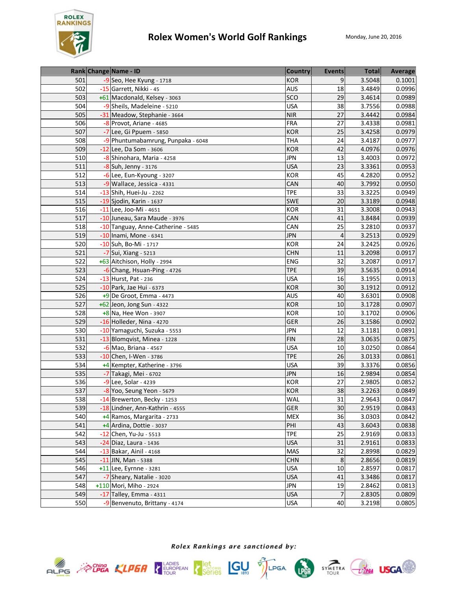

|     | Rank Change Name - ID              | <b>Country</b> | <b>Events</b>  | <b>Total</b> | Average |
|-----|------------------------------------|----------------|----------------|--------------|---------|
| 501 | -9 Seo, Hee Kyung - 1718           | <b>KOR</b>     | 9              | 3.5048       | 0.1001  |
| 502 | -15 Garrett, Nikki - 45            | <b>AUS</b>     | 18             | 3.4849       | 0.0996  |
| 503 | +61 Macdonald, Kelsey - 3063       | SCO            | 29             | 3.4614       | 0.0989  |
| 504 | -9 Sheils, Madeleine - 5210        | <b>USA</b>     | 38             | 3.7556       | 0.0988  |
| 505 | -31 Meadow, Stephanie - 3664       | <b>NIR</b>     | 27             | 3.4442       | 0.0984  |
| 506 | -8 Provot, Ariane - 4685           | <b>FRA</b>     | 27             | 3.4338       | 0.0981  |
| 507 | -7 Lee, Gi Ppuem - 5850            | <b>KOR</b>     | 25             | 3.4258       | 0.0979  |
| 508 | -9 Phuntumabamrung, Punpaka - 6048 | <b>THA</b>     | 24             | 3.4187       | 0.0977  |
| 509 | -12 Lee, Da Som - 3606             | <b>KOR</b>     | 42             | 4.0976       | 0.0976  |
| 510 | -8 Shinohara, Maria - 4258         | <b>JPN</b>     | 13             | 3.4003       | 0.0972  |
| 511 | -8 Suh, Jenny - 3176               | <b>USA</b>     | 23             | 3.3361       | 0.0953  |
| 512 | -6 Lee, Eun-Kyoung - 3207          | <b>KOR</b>     | 45             | 4.2820       | 0.0952  |
| 513 | -9 Wallace, Jessica - 4331         | CAN            | 40             | 3.7992       | 0.0950  |
| 514 | $-13$ Shih, Huei-Ju - 2262         | <b>TPE</b>     | 33             | 3.3225       | 0.0949  |
| 515 | -19 Sjodin, Karin - 1637           | <b>SWE</b>     | 20             | 3.3189       | 0.0948  |
| 516 | -11 Lee, Joo-Mi - 4651             | <b>KOR</b>     | 31             | 3.3008       | 0.0943  |
| 517 | -10 Juneau, Sara Maude - 3976      | CAN            | 41             | 3.8484       | 0.0939  |
| 518 | -10 Tanguay, Anne-Catherine - 5485 | CAN            | 25             | 3.2810       | 0.0937  |
| 519 | -10 Inami, Mone - 6341             | <b>JPN</b>     | $\overline{4}$ | 3.2513       | 0.0929  |
| 520 | -10 Suh, Bo-Mi - 1717              | <b>KOR</b>     | 24             | 3.2425       | 0.0926  |
| 521 | -7 Sui, Xiang - 5213               | <b>CHN</b>     | 11             | 3.2098       | 0.0917  |
| 522 | +63 Aitchison, Holly - 2994        | <b>ENG</b>     | 32             | 3.2087       | 0.0917  |
| 523 | -6 Chang, Hsuan-Ping - 4726        | <b>TPE</b>     | 39             | 3.5635       | 0.0914  |
| 524 | -13 Hurst, Pat - 236               | <b>USA</b>     | 16             | 3.1955       | 0.0913  |
| 525 | -10 Park, Jae Hui - 6373           | <b>KOR</b>     | 30             | 3.1912       | 0.0912  |
| 526 | $+9$ De Groot, Emma - 4473         | <b>AUS</b>     | 40             | 3.6301       | 0.0908  |
| 527 | +62 Jeon, Jong Sun - 4322          | <b>KOR</b>     | 10             | 3.1728       | 0.0907  |
| 528 | $\overline{+8}$ Na, Hee Won - 3907 | KOR            | 10             | 3.1702       | 0.0906  |
| 529 | -16 Holleder, Nina - 4270          | <b>GER</b>     | 26             | 3.1586       | 0.0902  |
| 530 | -10 Yamaguchi, Suzuka - 5553       | <b>JPN</b>     | 12             | 3.1181       | 0.0891  |
| 531 | -13 Blomqvist, Minea - 1228        | <b>FIN</b>     | 28             | 3.0635       | 0.0875  |
| 532 | -6 Mao, Briana - 4567              | <b>USA</b>     | 10             | 3.0250       | 0.0864  |
| 533 | $-10$ Chen, I-Wen - 3786           | <b>TPE</b>     | 26             | 3.0133       | 0.0861  |
| 534 | +4 Kempter, Katherine - 3796       | <b>USA</b>     | 39             | 3.3376       | 0.0856  |
| 535 | -7 Takagi, Mei - 6702              | <b>JPN</b>     | 16             | 2.9894       | 0.0854  |
| 536 | -9 Lee, Solar - 4239               | <b>KOR</b>     | 27             | 2.9805       | 0.0852  |
| 537 | -8 Yoo, Seung Yeon - 5679          | <b>KOR</b>     | 38             | 3.2263       | 0.0849  |
| 538 | -14 Brewerton, Becky - 1253        | WAL            | 31             | 2.9643       | 0.0847  |
| 539 | -18 Lindner, Ann-Kathrin - 4555    | <b>GER</b>     | 30             | 2.9519       | 0.0843  |
| 540 | +4 Ramos, Margarita - 2733         | <b>MEX</b>     | 36             | 3.0303       | 0.0842  |
| 541 | +4 Ardina, Dottie - 3037           | PHI            | 43             | 3.6043       | 0.0838  |
| 542 | $-12$ Chen, Yu-Ju - 5513           | <b>TPE</b>     | 25             | 2.9169       | 0.0833  |
| 543 | -24 Diaz, Laura - 1436             | <b>USA</b>     | 31             | 2.9161       | 0.0833  |
| 544 | -13 Bakar, Ainil - 4168            | <b>MAS</b>     | 32             | 2.8998       | 0.0829  |
| 545 | $-11$ JIN, Man - 5388              | <b>CHN</b>     | 8              | 2.8656       | 0.0819  |
| 546 | $+11$ Lee, Eyrnne - 3281           | <b>USA</b>     | 10             | 2.8597       | 0.0817  |
| 547 | -7 Sheary, Natalie - 3020          | <b>USA</b>     | 41             | 3.3486       | 0.0817  |
| 548 | +110 Mori, Miho - 2924             | <b>JPN</b>     | 19             | 2.8462       | 0.0813  |
| 549 | $-17$ Talley, Emma - 4311          | <b>USA</b>     | 7              | 2.8305       | 0.0809  |
| 550 | -9 Benvenuto, Brittany - 4174      | <b>USA</b>     | 40             | 3.2198       | 0.0805  |









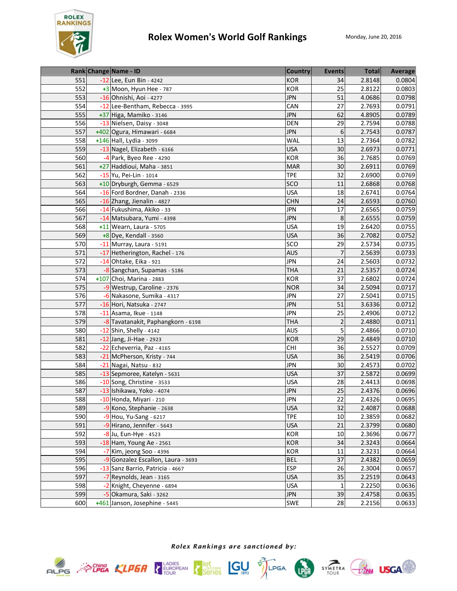

|     | Rank Change Name - ID              | <b>Country</b> | <b>Events</b>  | <b>Total</b> | <b>Average</b> |
|-----|------------------------------------|----------------|----------------|--------------|----------------|
| 551 | -12 Lee, Eun Bin - 4242            | <b>KOR</b>     | 34             | 2.8148       | 0.0804         |
| 552 | +3 Moon, Hyun Hee - 787            | <b>KOR</b>     | 25             | 2.8122       | 0.0803         |
| 553 | -16 Ohnishi, Aoi - 4277            | <b>JPN</b>     | 51             | 4.0686       | 0.0798         |
| 554 | -12 Lee-Bentham, Rebecca - 3995    | CAN            | 27             | 2.7693       | 0.0791         |
| 555 | +37 Higa, Mamiko - 3146            | <b>JPN</b>     | 62             | 4.8905       | 0.0789         |
| 556 | -13 Nielsen, Daisy - 3048          | <b>DEN</b>     | 29             | 2.7594       | 0.0788         |
| 557 | +402 Ogura, Himawari - 6684        | <b>JPN</b>     | 6              | 2.7543       | 0.0787         |
| 558 | +146 Hall, Lydia - 3099            | <b>WAL</b>     | 13             | 2.7364       | 0.0782         |
| 559 | -13 Nagel, Elizabeth - 6166        | <b>USA</b>     | 30             | 2.6973       | 0.0771         |
| 560 | -4 Park, Byeo Ree - 4290           | <b>KOR</b>     | 36             | 2.7685       | 0.0769         |
| 561 | +27 Haddioui, Maha - 3851          | <b>MAR</b>     | 30             | 2.6911       | 0.0769         |
| 562 | -15 Yu, Pei-Lin - 1014             | <b>TPE</b>     | 32             | 2.6900       | 0.0769         |
| 563 | +10 Dryburgh, Gemma - 6529         | SCO            | 11             | 2.6868       | 0.0768         |
| 564 | -16 Ford Bordner, Danah - 2336     | <b>USA</b>     | 18             | 2.6741       | 0.0764         |
| 565 | -16 Zhang, Jienalin - 4827         | <b>CHN</b>     | 24             | 2.6593       | 0.0760         |
| 566 | -14 Fukushima, Akiko - 33          | <b>JPN</b>     | 17             | 2.6565       | 0.0759         |
| 567 | -14 Matsubara, Yumi - 4398         | <b>JPN</b>     | 8              | 2.6555       | 0.0759         |
| 568 | +11 Wearn, Laura - 5705            | <b>USA</b>     | 19             | 2.6420       | 0.0755         |
| 569 | $+8$ Dye, Kendall - 3560           | <b>USA</b>     | 36             | 2.7082       | 0.0752         |
| 570 | -11 Murray, Laura - 5191           | SCO            | 29             | 2.5734       | 0.0735         |
| 571 | -17 Hetherington, Rachel - 176     | <b>AUS</b>     | 7              | 2.5639       | 0.0733         |
| 572 | $-14$ Ohtake, Eika - 921           | <b>JPN</b>     | 24             | 2.5603       | 0.0732         |
| 573 | -8 Sangchan, Supamas - 5186        | <b>THA</b>     | 21             | 2.5357       | 0.0724         |
| 574 | +107 Choi, Marina - 2883           | <b>KOR</b>     | 37             | 2.6802       | 0.0724         |
| 575 | -9 Westrup, Caroline - 2376        | <b>NOR</b>     | 34             | 2.5094       | 0.0717         |
| 576 | -6 Nakasone, Sumika - 4317         | <b>JPN</b>     | 27             | 2.5041       | 0.0715         |
| 577 | -16 Hori, Natsuka - 2747           | <b>JPN</b>     | 51             | 3.6336       | 0.0712         |
| 578 | -11 Asama, Ikue - 1148             | <b>JPN</b>     | 25             | 2.4906       | 0.0712         |
| 579 | -8 Tavatanakit, Paphangkorn - 6198 | <b>THA</b>     | $\overline{2}$ | 2.4880       | 0.0711         |
| 580 | -12 Shin, Shelly - 4142            | AUS            | 5              | 2.4866       | 0.0710         |
| 581 | $-12$ Jang, Ji-Hae - 2923          | <b>KOR</b>     | 29             | 2.4849       | 0.0710         |
| 582 | -22 Echeverria, Paz - 4165         | <b>CHI</b>     | 36             | 2.5527       | 0.0709         |
| 583 | -21 McPherson, Kristy - 744        | <b>USA</b>     | 36             | 2.5419       | 0.0706         |
| 584 | -21 Nagai, Natsu - 832             | <b>JPN</b>     | 30             | 2.4573       | 0.0702         |
| 585 | -13 Sepmoree, Katelyn - 5631       | <b>USA</b>     | 37             | 2.5872       | 0.0699         |
| 586 | -10 Song, Christine - 3533         | <b>USA</b>     | 28             | 2.4413       | 0.0698         |
| 587 | -13 Ishikawa, Yoko - 4074          | <b>JPN</b>     | 25             | 2.4376       | 0.0696         |
| 588 | -10 Honda, Miyari - 210            | <b>JPN</b>     | 22             | 2.4326       | 0.0695         |
| 589 | -9 Kono, Stephanie - 2638          | <b>USA</b>     | 32             | 2.4087       | 0.0688         |
| 590 | $-9$ Hou, Yu-Sang - 6217           | <b>TPE</b>     | 10             | 2.3859       | 0.0682         |
| 591 | -9 Hirano, Jennifer - 5643         | <b>USA</b>     | 21             | 2.3799       | 0.0680         |
| 592 | -8 Ju, Eun-Hye - 4523              | KOR            | 10             | 2.3696       | 0.0677         |
| 593 | -18 Ham, Young Ae - 2561           | <b>KOR</b>     | 34             | 2.3243       | 0.0664         |
| 594 | -7 Kim, jeong Soo - 4396           | KOR            | 11             | 2.3231       | 0.0664         |
| 595 | -9 Gonzalez Escallon, Laura - 3693 | <b>BEL</b>     | 37             | 2.4382       | 0.0659         |
| 596 | -13 Sanz Barrio, Patricia - 4667   | ESP            | 26             | 2.3004       | 0.0657         |
| 597 | -7 Reynolds, Jean - 3165           | <b>USA</b>     | 35             | 2.2519       | 0.0643         |
| 598 | Knight, Cheyenne - 6894            | <b>USA</b>     | $\mathbf{1}$   | 2.2250       | 0.0636         |
| 599 | Okamura, Saki - 3262               | <b>JPN</b>     | 39             | 2.4758       | 0.0635         |
| 600 | +461 Janson, Josephine - 5445      | SWE            | 28             | 2.2156       | 0.0633         |





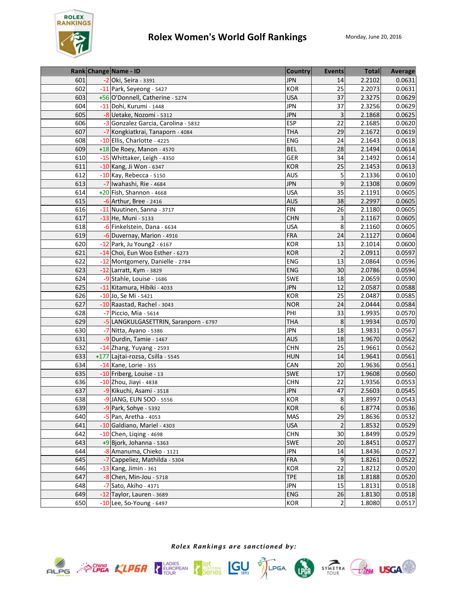

|     | Rank Change Name - ID                 | <b>Country</b> | <b>Events</b>  | <b>Total</b> | Average |
|-----|---------------------------------------|----------------|----------------|--------------|---------|
| 601 | -2 Oki, Seira - 3391                  | <b>JPN</b>     | 14             | 2.2102       | 0.0631  |
| 602 | -11 Park, Seyeong - 5427              | <b>KOR</b>     | 25             | 2.2073       | 0.0631  |
| 603 | +56 O'Donnell, Catherine - 5274       | <b>USA</b>     | 37             | 2.3275       | 0.0629  |
| 604 | -11 Dohi, Kurumi - 1448               | <b>JPN</b>     | 37             | 2.3256       | 0.0629  |
| 605 | -8 Uetake, Nozomi - 5312              | <b>JPN</b>     | 3              | 2.1868       | 0.0625  |
| 606 | -3 Gonzalez Garcia, Carolina - 5832   | <b>ESP</b>     | 22             | 2.1685       | 0.0620  |
| 607 | -7 Kongkiatkrai, Tanaporn - 4084      | <b>THA</b>     | 29             | 2.1672       | 0.0619  |
| 608 | -10 Ellis, Charlotte - 4225           | <b>ENG</b>     | 24             | 2.1643       | 0.0618  |
| 609 | +18 De Roey, Manon - 4570             | <b>BEL</b>     | 28             | 2.1494       | 0.0614  |
| 610 | -15 Whittaker, Leigh - 4350           | <b>GER</b>     | 34             | 2.1492       | 0.0614  |
| 611 | -10 Kang, Ji Won - 6347               | <b>KOR</b>     | 25             | 2.1453       | 0.0613  |
| 612 | -10 Kay, Rebecca - 5150               | <b>AUS</b>     | 5              | 2.1336       | 0.0610  |
| 613 | -7 Iwahashi, Rie - 4684               | <b>JPN</b>     | 9              | 2.1308       | 0.0609  |
| 614 | +20 Fish, Shannon - 4668              | <b>USA</b>     | 35             | 2.1191       | 0.0605  |
| 615 | $-6$ Arthur, Bree - 2416              | <b>AUS</b>     | 38             | 2.2997       | 0.0605  |
| 616 | -11 Nuutinen, Sanna - 3717            | <b>FIN</b>     | 26             | 2.1180       | 0.0605  |
| 617 | -13 He, Muni - 5133                   | <b>CHN</b>     | 3              | 2.1167       | 0.0605  |
| 618 | -6 Finkelstein, Dana - 6634           | <b>USA</b>     | 8              | 2.1160       | 0.0605  |
| 619 | -6 Duvernay, Marion - 4916            | <b>FRA</b>     | 24             | 2.1127       | 0.0604  |
| 620 | -12 Park, Ju Young2 - 6167            | <b>KOR</b>     | 13             | 2.1014       | 0.0600  |
| 621 | -14 Choi, Eun Woo Esther - 6273       | <b>KOR</b>     | $\overline{2}$ | 2.0911       | 0.0597  |
| 622 | -12 Montgomery, Danielle - 2784       | <b>ENG</b>     | 13             | 2.0864       | 0.0596  |
| 623 | -12 Larratt, Kym - 3829               | <b>ENG</b>     | 30             | 2.0786       | 0.0594  |
| 624 | -9 Stahle, Louise - 1686              | <b>SWE</b>     | 18             | 2.0659       | 0.0590  |
| 625 | -11 Kitamura, Hibiki - 4033           | <b>JPN</b>     | 12             | 2.0587       | 0.0588  |
| 626 | -10 Jo, Se Mi - 5421                  | KOR            | 25             | 2.0487       | 0.0585  |
| 627 | -10 Raastad, Rachel - 3043            | <b>NOR</b>     | 24             | 2.0444       | 0.0584  |
| 628 | -7 Piccio, Mia - 5614                 | PHI            | 33             | 1.9935       | 0.0570  |
| 629 | -5 LANGKULGASETTRIN, Saranporn - 6797 | <b>THA</b>     | 8              | 1.9934       | 0.0570  |
| 630 | -7 Nitta, Ayano - 5386                | <b>JPN</b>     | 18             | 1.9831       | 0.0567  |
| 631 | -9 Durdin, Tamie - 1467               | <b>AUS</b>     | 18             | 1.9670       | 0.0562  |
| 632 | -14 Zhang, Yuyang - 2593              | <b>CHN</b>     | 25             | 1.9661       | 0.0562  |
| 633 | +177 Lajtai-rozsa, Csilla - 5545      | <b>HUN</b>     | 14             | 1.9641       | 0.0561  |
| 634 | -14 Kane, Lorie - 355                 | CAN            | 20             | 1.9636       | 0.0561  |
| 635 | -10 Friberg, Louise - 13              | <b>SWE</b>     | 17             | 1.9608       | 0.0560  |
| 636 | -10 Zhou, Jiayi - 4838                | <b>CHN</b>     | 22             | 1.9356       | 0.0553  |
| 637 | -9 Kikuchi, Asami - 3518              | <b>JPN</b>     | 47             | 2.5603       | 0.0545  |
| 638 | -9 JANG, EUN SOO - 5556               | <b>KOR</b>     | 8              | 1.8997       | 0.0543  |
| 639 | -9 Park, Sohye - 5392                 | <b>KOR</b>     | 6              | 1.8774       | 0.0536  |
| 640 | $-5$ Pan, Aretha - 4053               | <b>MAS</b>     | 29             | 1.8636       | 0.0532  |
| 641 | -10 Galdiano, Mariel - 4303           | <b>USA</b>     | $\overline{2}$ | 1.8532       | 0.0529  |
| 642 | $-10$ Chen, Liqing - 4698             | <b>CHN</b>     | 30             | 1.8499       | 0.0529  |
| 643 | $+9$ Bjork, Johanna - 5363            | SWE            | 20             | 1.8451       | 0.0527  |
| 644 | -8 Amanuma, Chieko - 1121             | <b>JPN</b>     | 14             | 1.8436       | 0.0527  |
| 645 | -7 Cappeliez, Mathilda - 5304         | <b>FRA</b>     | $\overline{9}$ | 1.8261       | 0.0522  |
| 646 | -13 Kang, Jimin - 361                 | <b>KOR</b>     | 22             | 1.8212       | 0.0520  |
| 647 | $-8$ Chen, Min-Jou - 5718             | <b>TPE</b>     | 18             | 1.8188       | 0.0520  |
| 648 | -7 Sato, Akiho - 4371                 | <b>JPN</b>     | 15             | 1.8131       | 0.0518  |
| 649 | -12 Taylor, Lauren - 3689             | <b>ENG</b>     | 26             | 1.8130       | 0.0518  |
| 650 | -10 Lee, So-Young - 6497              | <b>KOR</b>     | $\overline{2}$ | 1.8080       | 0.0517  |





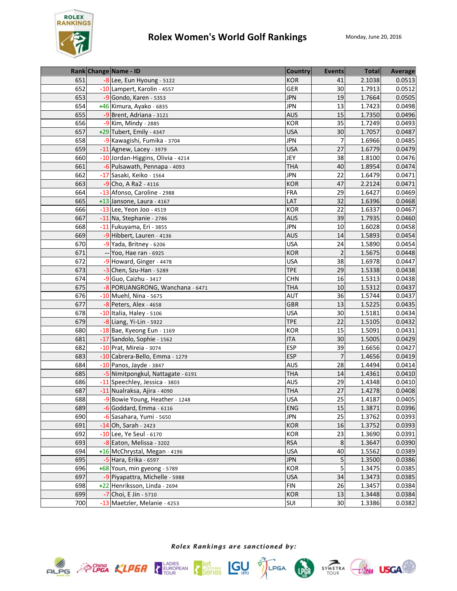

|            | Rank Change Name - ID             | <b>Country</b> | <b>Events</b>           | <b>Total</b> | Average |
|------------|-----------------------------------|----------------|-------------------------|--------------|---------|
| 651        | -8 Lee, Eun Hyoung - 5122         | <b>KOR</b>     | 41                      | 2.1038       | 0.0513  |
| 652        | -10 Lampert, Karolin - 4557       | GER            | 30                      | 1.7913       | 0.0512  |
| 653        | $-9$ Gondo, Karen - 5353          | <b>JPN</b>     | 19                      | 1.7664       | 0.0505  |
| 654        | +46 Kimura, Ayako - 6835          | <b>JPN</b>     | 13                      | 1.7423       | 0.0498  |
| 655        | -9 Brent, Adriana - 3121          | <b>AUS</b>     | 15                      | 1.7350       | 0.0496  |
| 656        | -9 Kim, Mindy - 2885              | <b>KOR</b>     | 35                      | 1.7249       | 0.0493  |
| 657        | +29 Tubert, Emily - 4347          | <b>USA</b>     | 30                      | 1.7057       | 0.0487  |
| 658        | -9 Kawagishi, Fumika - 3704       | <b>JPN</b>     | 7                       | 1.6966       | 0.0485  |
| 659        | $-11$ Agnew, Lacey - 3979         | <b>USA</b>     | 27                      | 1.6779       | 0.0479  |
| 660        | -10 Jordan-Higgins, Olivia - 4214 | JEY            | 38                      | 1.8100       | 0.0476  |
| 661        | -6 Pulsawath, Pennapa - 4093      | <b>THA</b>     | 40                      | 1.8954       | 0.0474  |
| 662        | -17 Sasaki, Keiko - 1564          | <b>JPN</b>     | 22                      | 1.6479       | 0.0471  |
| 663        | -9 Cho, A Ra2 - 4116              | <b>KOR</b>     | 47                      | 2.2124       | 0.0471  |
| 664        | -13 Afonso, Caroline - 2988       | <b>FRA</b>     | 29                      | 1.6427       | 0.0469  |
| 665        | +13 Jansone, Laura - 4167         | LAT            | 32                      | 1.6396       | 0.0468  |
| 666        | $-13$ Lee, Yeon Joo - 4519        | KOR            | 22                      | 1.6337       | 0.0467  |
| 667        | -11 Na, Stephanie - 2786          | <b>AUS</b>     | 39                      | 1.7935       | 0.0460  |
| 668        | -11 Fukuyama, Eri - 3855          | <b>JPN</b>     | 10                      | 1.6028       | 0.0458  |
| 669        | -9 Hibbert, Lauren - 4136         | <b>AUS</b>     | 14                      | 1.5893       | 0.0454  |
| 670        | -9 Yada, Britney - 6206           | <b>USA</b>     | 24                      | 1.5890       | 0.0454  |
| 671        | Yoo, Hae ran - 6925               | <b>KOR</b>     | $\overline{\mathbf{c}}$ | 1.5675       | 0.0448  |
| 672        | -9 Howard, Ginger - 4478          | <b>USA</b>     | 38                      | 1.6978       | 0.0447  |
| 673        | $-3$ Chen, Szu-Han - 5289         | <b>TPE</b>     | 29                      | 1.5338       | 0.0438  |
| 674        | -9 Guo, Caizhu - 3417             | <b>CHN</b>     | 16                      | 1.5313       | 0.0438  |
| 675        | -8 PORUANGRONG, Wanchana - 6471   | <b>THA</b>     | 10                      | 1.5312       | 0.0437  |
| 676        | $-10$ Muehl, Nina - 5675          | AUT            | 36                      | 1.5744       | 0.0437  |
| 677        | -8 Peters, Alex - 4658            | <b>GBR</b>     | 13                      | 1.5225       | 0.0435  |
| 678        | -10 Italia, Haley - 5106          | <b>USA</b>     | 30                      | 1.5181       | 0.0434  |
| 679        | -8 Liang, Yi-Lin - 5922           | <b>TPE</b>     | 22                      | 1.5105       | 0.0432  |
| 680        | -18 Bae, Kyeong Eun - 1169        | KOR            | 15                      | 1.5091       | 0.0431  |
| 681        | -17 Sandolo, Sophie - 1562        | <b>ITA</b>     | 30                      | 1.5005       | 0.0429  |
| 682        | -10 Prat, Mireia - 3074           | <b>ESP</b>     | 39                      | 1.6656       | 0.0427  |
| 683        | -10 Cabrera-Bello, Emma - 1279    | <b>ESP</b>     | $\overline{7}$          | 1.4656       | 0.0419  |
| 684        | -10 Panos, Jayde - 3847           | <b>AUS</b>     | 28                      | 1.4494       | 0.0414  |
| 685        | -5 Nimitpongkul, Nattagate - 6191 | <b>THA</b>     | 14                      | 1.4361       | 0.0410  |
| 686        | -11 Speechley, Jessica - 3803     | <b>AUS</b>     | 29                      | 1.4348       | 0.0410  |
| 687        | -11 Nualraksa, Ajira - 4090       | <b>THA</b>     | 27                      | 1.4278       | 0.0408  |
| 688        | -9 Bowie Young, Heather - 1248    | <b>USA</b>     | 25                      | 1.4187       | 0.0405  |
| 689        | $-6$ Goddard, Emma - 6116         | <b>ENG</b>     | 15                      | 1.3871       | 0.0396  |
| 690        | -6 Sasahara, Yumi - 5650          | <b>JPN</b>     | 25                      | 1.3762       | 0.0393  |
| 691        | -14 Oh, Sarah - 2423              | <b>KOR</b>     | 16                      | 1.3752       | 0.0393  |
| 692        | -10 Lee, Ye Seul - 6170           | KOR            | 23                      | 1.3690       | 0.0391  |
| 693        | -8 Eaton, Melissa - 3202          | <b>RSA</b>     | 8                       | 1.3647       | 0.0390  |
| 694        | +16 McChrystal, Megan - 4196      | <b>USA</b>     | 40                      | 1.5562       | 0.0389  |
| 695<br>696 | -5 Hara, Erika - 6597             | <b>JPN</b>     | 5<br>5                  | 1.3500       | 0.0386  |
| 697        | +68 Youn, min gyeong - 5789       | <b>KOR</b>     |                         | 1.3475       | 0.0385  |
|            | -9 Piyapattra, Michelle - 5988    | <b>USA</b>     | 34                      | 1.3473       | 0.0385  |
| 698        | +22 Henriksson, Linda - 2694      | <b>FIN</b>     | 26                      | 1.3457       | 0.0384  |
| 699        | -7 Choi, E Jin - 5710             | <b>KOR</b>     | 13                      | 1.3448       | 0.0384  |
| 700        | -13 Maetzler, Melanie - 4253      | SUI            | 30                      | 1.3386       | 0.0382  |





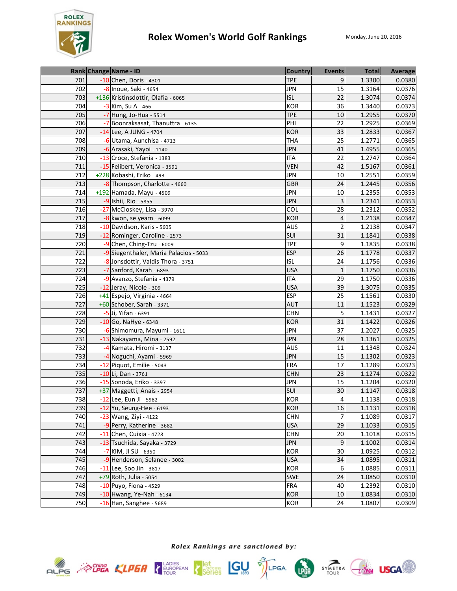

|     | Rank Change Name - ID                  | <b>Country</b> | <b>Events</b>  | <b>Total</b> | Average |
|-----|----------------------------------------|----------------|----------------|--------------|---------|
| 701 | -10 Chen, Doris - 4301                 | <b>TPE</b>     | 9              | 1.3300       | 0.0380  |
| 702 | -8 Inoue, Saki - 4654                  | <b>JPN</b>     | 15             | 1.3164       | 0.0376  |
| 703 | +136 Kristinsdottir, Olafia - 6065     | <b>ISL</b>     | 22             | 1.3074       | 0.0374  |
| 704 | -3 Kim, Su A - 466                     | <b>KOR</b>     | 36             | 1.3440       | 0.0373  |
| 705 | -7 Hung, Jo-Hua - 5514                 | <b>TPE</b>     | 10             | 1.2955       | 0.0370  |
| 706 | -7 Boonraksasat, Thanuttra - 6135      | PHI            | 22             | 1.2925       | 0.0369  |
| 707 | -14 Lee, A JUNG - 4704                 | <b>KOR</b>     | 33             | 1.2833       | 0.0367  |
| 708 | -6 Utama, Aunchisa - 4713              | <b>THA</b>     | 25             | 1.2771       | 0.0365  |
| 709 | -6 Arasaki, Yayoi - 1140               | <b>JPN</b>     | 41             | 1.4955       | 0.0365  |
| 710 | -13 Croce, Stefania - 1383             | <b>ITA</b>     | 22             | 1.2747       | 0.0364  |
| 711 | -15 Felibert, Veronica - 3591          | <b>VEN</b>     | 42             | 1.5167       | 0.0361  |
| 712 | +228 Kobashi, Eriko - 493              | <b>JPN</b>     | 10             | 1.2551       | 0.0359  |
| 713 | -8 Thompson, Charlotte - 4660          | <b>GBR</b>     | 24             | 1.2445       | 0.0356  |
| 714 | +192 Hamada, Mayu - 4509               | <b>JPN</b>     | 10             | 1.2355       | 0.0353  |
| 715 | -9 Ishii, Rio - 5855                   | <b>JPN</b>     | 3              | 1.2341       | 0.0353  |
| 716 | -27 McCloskey, Lisa - 3970             | COL            | 28             | 1.2312       | 0.0352  |
| 717 | $-8$ kwon, se yearn - 6099             | <b>KOR</b>     | 4              | 1.2138       | 0.0347  |
| 718 | -10 Davidson, Karis - 5605             | <b>AUS</b>     | $\overline{2}$ | 1.2138       | 0.0347  |
| 719 | -12 Rominger, Caroline - 2573          | SUI            | 31             | 1.1841       | 0.0338  |
| 720 | -9 Chen, Ching-Tzu - 6009              | <b>TPE</b>     | 9              | 1.1835       | 0.0338  |
| 721 | -9 Siegenthaler, Maria Palacios - 5033 | <b>ESP</b>     | 26             | 1.1778       | 0.0337  |
| 722 | -8 Jonsdottir, Valdis Thora - 3751     | <b>ISL</b>     | 24             | 1.1756       | 0.0336  |
| 723 | -7 Sanford, Karah - 6893               | <b>USA</b>     | $\mathbf{1}$   | 1.1750       | 0.0336  |
| 724 | -9 Avanzo, Stefania - 4379             | <b>ITA</b>     | 29             | 1.1750       | 0.0336  |
| 725 | -12 Jeray, Nicole - 309                | <b>USA</b>     | 39             | 1.3075       | 0.0335  |
| 726 | +41 Espejo, Virginia - 4664            | <b>ESP</b>     | 25             | 1.1561       | 0.0330  |
| 727 | +60 Schober, Sarah - 3371              | <b>AUT</b>     | 11             | 1.1523       | 0.0329  |
| 728 | -5 Ji, Yifan - 6391                    | <b>CHN</b>     | 5              | 1.1431       | 0.0327  |
| 729 | $-10$ Go, NaHye - 6348                 | <b>KOR</b>     | 31             | 1.1422       | 0.0326  |
| 730 | -6 Shimomura, Mayumi - 1611            | <b>JPN</b>     | 37             | 1.2027       | 0.0325  |
| 731 | -13 Nakayama, Mina - 2592              | <b>JPN</b>     | 28             | 1.1361       | 0.0325  |
| 732 | -4 Kamata, Hiromi - 3137               | <b>AUS</b>     | 11             | 1.1348       | 0.0324  |
| 733 | -4 Noguchi, Ayami - 5969               | <b>JPN</b>     | 15             | 1.1302       | 0.0323  |
| 734 | -12 Piquot, Emilie - 5043              | <b>FRA</b>     | 17             | 1.1289       | 0.0323  |
| 735 | -10 Li, Dan - 3761                     | <b>CHN</b>     | 23             | 1.1274       | 0.0322  |
| 736 | -15 Sonoda, Eriko - 3397               | <b>JPN</b>     | 15             | 1.1204       | 0.0320  |
| 737 | +37 Maggetti, Anais - 2954             | SUI            | 30             | 1.1147       | 0.0318  |
| 738 | -12 Lee, Eun Ji - 5982                 | KOR            | $\overline{4}$ | 1.1138       | 0.0318  |
| 739 | $-12$ Yu, Seung-Hee - 6193             | <b>KOR</b>     | 16             | 1.1131       | 0.0318  |
| 740 | $-23$ Wang, Ziyi - 4122                | <b>CHN</b>     | 7              | 1.1089       | 0.0317  |
| 741 | -9 Perry, Katherine - 3682             | <b>USA</b>     | 29             | 1.1033       | 0.0315  |
| 742 | -11 Chen, Cuixia - 4728                | <b>CHN</b>     | 20             | 1.1018       | 0.0315  |
| 743 | -13 Tsuchida, Sayaka - 3729            | <b>JPN</b>     | 9              | 1.1002       | 0.0314  |
| 744 | $-7$ KIM, JI SU - 6350                 | KOR            | 30             | 1.0925       | 0.0312  |
| 745 | -9 Henderson, Selanee - 3002           | <b>USA</b>     | 34             | 1.0895       | 0.0311  |
| 746 | -11 Lee, Soo Jin - 3817                | KOR            | 6              | 1.0885       | 0.0311  |
| 747 | +79 Roth, Julia - 5054                 | SWE            | 24             | 1.0850       | 0.0310  |
| 748 | -10 Puyo, Fiona - 4529                 | <b>FRA</b>     | 40             | 1.2392       | 0.0310  |
| 749 | -10 Hwang, Ye-Nah - 6134               | <b>KOR</b>     | 10             | 1.0834       | 0.0310  |
| 750 | $-16$ Han, Sanghee - 5689              | <b>KOR</b>     | 24             | 1.0807       | 0.0309  |









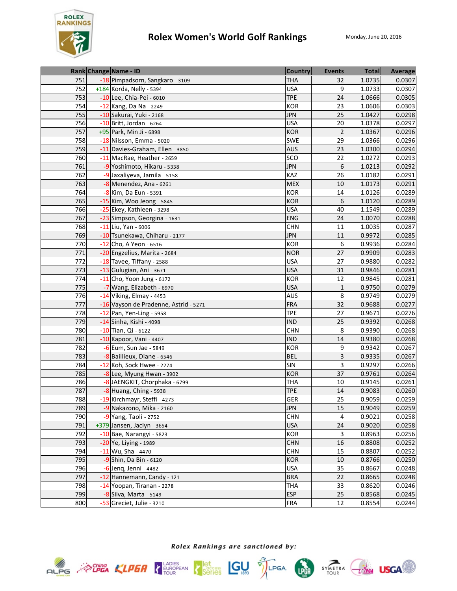

|     | Rank Change Name - ID                 | <b>Country</b> | <b>Events</b>  | <b>Total</b> | Average |
|-----|---------------------------------------|----------------|----------------|--------------|---------|
| 751 | -18 Pimpadsorn, Sangkaro - 3109       | <b>THA</b>     | 32             | 1.0735       | 0.0307  |
| 752 | +184 Korda, Nelly - 5394              | <b>USA</b>     | 9              | 1.0733       | 0.0307  |
| 753 | -10 Lee, Chia-Pei - 6010              | <b>TPE</b>     | 24             | 1.0666       | 0.0305  |
| 754 | -12 Kang, Da Na - 2249                | <b>KOR</b>     | 23             | 1.0606       | 0.0303  |
| 755 | -10 Sakurai, Yuki - 2168              | <b>JPN</b>     | 25             | 1.0427       | 0.0298  |
| 756 | $-10$ Britt, Jordan - 6264            | <b>USA</b>     | 20             | 1.0378       | 0.0297  |
| 757 | +95 Park, Min Ji - 6898               | <b>KOR</b>     | $\overline{2}$ | 1.0367       | 0.0296  |
| 758 | -18 Nilsson, Emma - 5020              | SWE            | 29             | 1.0366       | 0.0296  |
| 759 | -11 Davies-Graham, Ellen - 3850       | <b>AUS</b>     | 23             | 1.0300       | 0.0294  |
| 760 | -11 MacRae, Heather - 2659            | SCO            | 22             | 1.0272       | 0.0293  |
| 761 | -9 Yoshimoto, Hikaru - 5338           | <b>JPN</b>     | 6              | 1.0213       | 0.0292  |
| 762 | -9 Jaxaliyeva, Jamila - 5158          | KAZ            | 26             | 1.0182       | 0.0291  |
| 763 | -8 Menendez, Ana - 6261               | <b>MEX</b>     | 10             | 1.0173       | 0.0291  |
| 764 | -8 Kim, Da Eun - 5391                 | <b>KOR</b>     | 14             | 1.0126       | 0.0289  |
| 765 | -15 Kim, Woo Jeong - 5845             | <b>KOR</b>     | 6              | 1.0120       | 0.0289  |
| 766 | -25 Ekey, Kathleen - 3298             | <b>USA</b>     | 40             | 1.1549       | 0.0289  |
| 767 | -23 Simpson, Georgina - 1631          | <b>ENG</b>     | 24             | 1.0070       | 0.0288  |
| 768 | -11 Liu, Yan - 6006                   | <b>CHN</b>     | 11             | 1.0035       | 0.0287  |
| 769 | -10 Tsunekawa, Chiharu - 2177         | <b>JPN</b>     | 11             | 0.9972       | 0.0285  |
| 770 | -12 Cho, A Yeon - 6516                | <b>KOR</b>     | 6              | 0.9936       | 0.0284  |
| 771 | -20 Engzelius, Marita - 2684          | <b>NOR</b>     | 27             | 0.9909       | 0.0283  |
| 772 | -18 Tavee, Tiffany - 2588             | <b>USA</b>     | 27             | 0.9880       | 0.0282  |
| 773 | -13 Gulugian, Ani - 3671              | <b>USA</b>     | 31             | 0.9846       | 0.0281  |
| 774 | $-11$ Cho, Yoon Jung - 6172           | <b>KOR</b>     | 12             | 0.9845       | 0.0281  |
| 775 | -7 Wang, Elizabeth - 6970             | <b>USA</b>     | $\mathbf{1}$   | 0.9750       | 0.0279  |
| 776 | -14 Viking, Elmay - 4453              | <b>AUS</b>     | 8              | 0.9749       | 0.0279  |
| 777 | -16 Vayson de Pradenne, Astrid - 5271 | <b>FRA</b>     | 32             | 0.9688       | 0.0277  |
| 778 | -12 Pan, Yen-Ling - 5958              | <b>TPE</b>     | 27             | 0.9671       | 0.0276  |
| 779 | -14 Sinha, Kishi - 4098               | <b>IND</b>     | 25             | 0.9392       | 0.0268  |
| 780 | -10 Tian, Qi - 6122                   | <b>CHN</b>     | 8              | 0.9390       | 0.0268  |
| 781 | -10 Kapoor, Vani - 4407               | <b>IND</b>     | 14             | 0.9380       | 0.0268  |
| 782 | -6 Eum, Sun Jae - 5849                | KOR            | 9              | 0.9342       | 0.0267  |
| 783 | -8 Baillieux, Diane - 6546            | <b>BEL</b>     | 3              | 0.9335       | 0.0267  |
| 784 | -12 Koh, Sock Hwee - 2274             | <b>SIN</b>     | 3              | 0.9297       | 0.0266  |
| 785 | -8 Lee, Myung Hwan - 3902             | <b>KOR</b>     | 37             | 0.9761       | 0.0264  |
| 786 | -8 JAENGKIT, Chorphaka - 6799         | <b>THA</b>     | 10             | 0.9145       | 0.0261  |
| 787 | -8 Huang, Ching - 5938                | <b>TPE</b>     | 14             | 0.9083       | 0.0260  |
| 788 | 19 Kirchmayr, Steffi - 4273           | GER            | 25             | 0.9059       | 0.0259  |
| 789 | -9 Nakazono, Mika - 2160              | <b>JPN</b>     | 15             | 0.9049       | 0.0259  |
| 790 | $-9$ Yang, Taoli - 2752               | <b>CHN</b>     | $\overline{4}$ | 0.9021       | 0.0258  |
| 791 | +379 Jansen, Jaclyn - 3654            | <b>USA</b>     | 24             | 0.9020       | 0.0258  |
| 792 | -10 Bae, Narangyi - 5823              | KOR            | 3              | 0.8963       | 0.0256  |
| 793 | -20 Ye, Liying - 1989                 | <b>CHN</b>     | 16             | 0.8808       | 0.0252  |
| 794 | -11 Wu, Sha - 4470                    | <b>CHN</b>     | 15             | 0.8807       | 0.0252  |
| 795 | $-9$ Shin, Da Bin - 6120              | <b>KOR</b>     | 10             | 0.8766       | 0.0250  |
| 796 | -6 Jenq, Jenni - 4482                 | <b>USA</b>     | 35             | 0.8667       | 0.0248  |
| 797 | -12 Hannemann, Candy - 121            | <b>BRA</b>     | 22             | 0.8665       | 0.0248  |
| 798 | -14 Yoopan, Tiranan - 2278            | <b>THA</b>     | 33             | 0.8620       | 0.0246  |
| 799 | -8 Silva, Marta - 5149                | <b>ESP</b>     | 25             | 0.8568       | 0.0245  |
| 800 | -53 Greciet, Julie - 3210             | <b>FRA</b>     | 12             | 0.8554       | 0.0244  |





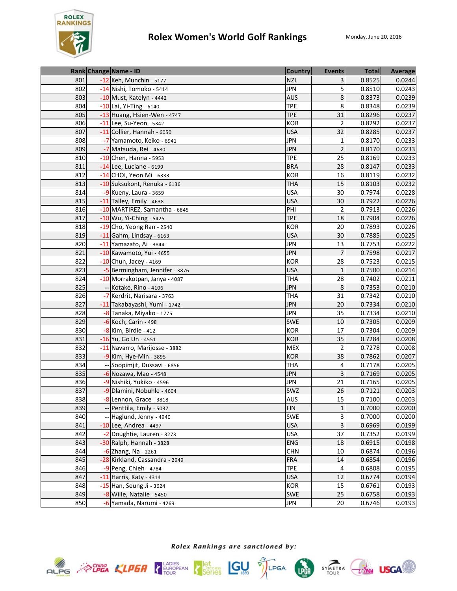

|     | Rank Change Name - ID          | <b>Country</b> | <b>Events</b>  | <b>Total</b> | Average |
|-----|--------------------------------|----------------|----------------|--------------|---------|
| 801 | -12 Keh, Munchin - 5177        | <b>NZL</b>     | 3              | 0.8525       | 0.0244  |
| 802 | -14 Nishi, Tomoko - 5414       | <b>JPN</b>     | 5              | 0.8510       | 0.0243  |
| 803 | -10 Must, Katelyn - 4442       | <b>AUS</b>     | 8              | 0.8373       | 0.0239  |
| 804 | -10 Lai, Yi-Ting - 6140        | <b>TPE</b>     | 8              | 0.8348       | 0.0239  |
| 805 | -13 Huang, Hsien-Wen - 4747    | <b>TPE</b>     | 31             | 0.8296       | 0.0237  |
| 806 | $-11$ Lee, Su-Yeon - 5342      | <b>KOR</b>     | $\mathbf 2$    | 0.8292       | 0.0237  |
| 807 | -11 Collier, Hannah - 6050     | <b>USA</b>     | 32             | 0.8285       | 0.0237  |
| 808 | -7 Yamamoto, Keiko - 6941      | <b>JPN</b>     | $\mathbf 1$    | 0.8170       | 0.0233  |
| 809 | -7 Matsuda, Rei - 4680         | <b>JPN</b>     | $\overline{2}$ | 0.8170       | 0.0233  |
| 810 | $-10$ Chen, Hanna - 5953       | <b>TPE</b>     | 25             | 0.8169       | 0.0233  |
| 811 | -14 Lee, Luciane - 6199        | <b>BRA</b>     | 28             | 0.8147       | 0.0233  |
| 812 | -14 CHOI, Yeon Mi - 6333       | <b>KOR</b>     | 16             | 0.8119       | 0.0232  |
| 813 | -10 Suksukont, Renuka - 6136   | <b>THA</b>     | 15             | 0.8103       | 0.0232  |
| 814 | -9 Kueny, Laura - 3659         | <b>USA</b>     | 30             | 0.7974       | 0.0228  |
| 815 | -11 Talley, Emily - 4638       | <b>USA</b>     | 30             | 0.7922       | 0.0226  |
| 816 | -10 MARTIREZ, Samantha - 6845  | PHI            | 2              | 0.7913       | 0.0226  |
| 817 | -10 Wu, Yi-Ching - 5425        | <b>TPE</b>     | 18             | 0.7904       | 0.0226  |
| 818 | -19 Cho, Yeong Ran - 2540      | <b>KOR</b>     | 20             | 0.7893       | 0.0226  |
| 819 | $-11$ Gahm, Lindsay - 6163     | <b>USA</b>     | 30             | 0.7885       | 0.0225  |
| 820 | $-11$ Yamazato, Ai - 3844      | <b>JPN</b>     | 13             | 0.7753       | 0.0222  |
| 821 | -10 Kawamoto, Yui - 4655       | <b>JPN</b>     | 7              | 0.7598       | 0.0217  |
| 822 | $-10$ Chun, Jacey - 4169       | <b>KOR</b>     | 28             | 0.7523       | 0.0215  |
| 823 | -5 Bermingham, Jennifer - 3876 | <b>USA</b>     | $\mathbf{1}$   | 0.7500       | 0.0214  |
| 824 | -10 Morrakotpan, Janya - 4087  | <b>THA</b>     | 28             | 0.7402       | 0.0211  |
| 825 | -- Kotake, Rino - 4106         | <b>JPN</b>     | 8              | 0.7353       | 0.0210  |
| 826 | -7 Kerdrit, Narisara - 3763    | <b>THA</b>     | 31             | 0.7342       | 0.0210  |
| 827 | -11 Takabayashi, Yumi - 1742   | <b>JPN</b>     | 20             | 0.7334       | 0.0210  |
| 828 | -8 Tanaka, Miyako - 1775       | <b>JPN</b>     | 35             | 0.7334       | 0.0210  |
| 829 | $-6$ Koch, Carin - 498         | <b>SWE</b>     | 10             | 0.7305       | 0.0209  |
| 830 | -8 Kim, Birdie - 412           | <b>KOR</b>     | 17             | 0.7304       | 0.0209  |
| 831 | -16 Yu, Go Un - 4551           | <b>KOR</b>     | 35             | 0.7284       | 0.0208  |
| 832 | -11 Navarro, Marijosse - 3882  | <b>MEX</b>     | $\overline{2}$ | 0.7278       | 0.0208  |
| 833 | -9 Kim, Hye-Min - 3895         | <b>KOR</b>     | 38             | 0.7862       | 0.0207  |
| 834 | -- Soopimjit, Dussavi - 6856   | <b>THA</b>     | 4              | 0.7178       | 0.0205  |
| 835 | -6 Nozawa, Mao - 4548          | <b>JPN</b>     | 3              | 0.7169       | 0.0205  |
| 836 | -9 Nishiki, Yukiko - 4596      | <b>JPN</b>     | 21             | 0.7165       | 0.0205  |
| 837 | -9 Dlamini, Nobuhle - 4604     | SWZ            | 26             | 0.7121       | 0.0203  |
| 838 | -8 Lennon, Grace - 3818        | AUS            | 15             | 0.7100       | 0.0203  |
| 839 | -- Penttila, Emily - 5037      | <b>FIN</b>     | $\mathbf 1$    | 0.7000       | 0.0200  |
| 840 | -- Haglund, Jenny - 4940       | SWE            | 3              | 0.7000       | 0.0200  |
| 841 | $-10$ Lee, Andrea - 4497       | <b>USA</b>     | 3              | 0.6969       | 0.0199  |
| 842 | -2 Doughtie, Lauren - 3273     | <b>USA</b>     | 37             | 0.7352       | 0.0199  |
| 843 | -30 Ralph, Hannah - 3828       | <b>ENG</b>     | 18             | 0.6915       | 0.0198  |
| 844 | $-6$ Zhang, Na - 2261          | <b>CHN</b>     | 10             | 0.6874       | 0.0196  |
| 845 | -28 Kirkland, Cassandra - 2949 | <b>FRA</b>     | 14             | 0.6854       | 0.0196  |
| 846 | -9 Peng, Chieh - 4784          | <b>TPE</b>     | 4              | 0.6808       | 0.0195  |
| 847 | -11 Harris, Katy - 4314        | <b>USA</b>     | 12             | 0.6774       | 0.0194  |
| 848 | -15 Han, Seung Ji - 3624       | KOR            | 15             | 0.6761       | 0.0193  |
| 849 | -8 Wille, Natalie - 5450       | <b>SWE</b>     | 25             | 0.6758       | 0.0193  |
| 850 | -6 Yamada, Narumi - 4269       | <b>JPN</b>     | 20             | 0.6746       | 0.0193  |





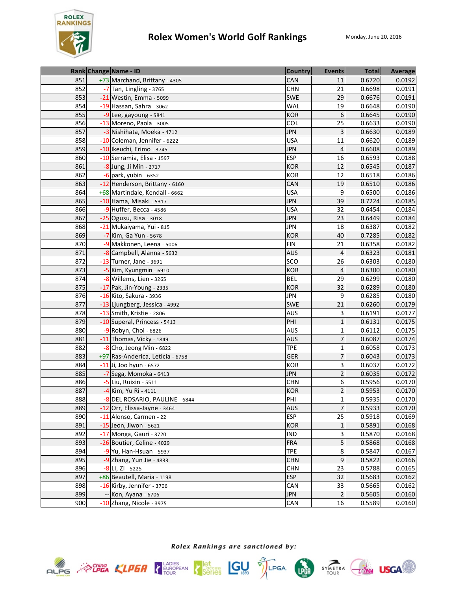

|     | Rank Change Name - ID            | Country    | <b>Events</b>   | <b>Total</b> | Average |
|-----|----------------------------------|------------|-----------------|--------------|---------|
| 851 | +73 Marchand, Brittany - 4305    | CAN        | 11              | 0.6720       | 0.0192  |
| 852 | -7 Tan, Lingling - 3765          | <b>CHN</b> | 21              | 0.6698       | 0.0191  |
| 853 | -21 Westin, Emma - 5099          | SWE        | 29              | 0.6676       | 0.0191  |
| 854 | -19 Hassan, Sahra - 3062         | <b>WAL</b> | 19              | 0.6648       | 0.0190  |
| 855 | -9 Lee, gayoung - 5841           | <b>KOR</b> | 6               | 0.6645       | 0.0190  |
| 856 | -13 Moreno, Paola - 3005         | COL        | 25              | 0.6633       | 0.0190  |
| 857 | -3 Nishihata, Moeka - 4712       | <b>JPN</b> | 3               | 0.6630       | 0.0189  |
| 858 | -10 Coleman, Jennifer - 6222     | <b>USA</b> | 11              | 0.6620       | 0.0189  |
| 859 | -10 Ikeuchi, Erimo - 3745        | <b>JPN</b> | $\overline{4}$  | 0.6608       | 0.0189  |
| 860 | -10 Serramia, Elisa - 1597       | <b>ESP</b> | 16              | 0.6593       | 0.0188  |
| 861 | -8 Jung, Ji Min - 2717           | <b>KOR</b> | 12              | 0.6545       | 0.0187  |
| 862 | $-6$ park, yubin - 6352          | <b>KOR</b> | 12              | 0.6518       | 0.0186  |
| 863 | -12 Henderson, Brittany - 6160   | CAN        | 19              | 0.6510       | 0.0186  |
| 864 | +68 Martindale, Kendall - 6662   | <b>USA</b> | 9               | 0.6500       | 0.0186  |
| 865 | -10 Hama, Misaki - 5317          | <b>JPN</b> | 39              | 0.7224       | 0.0185  |
| 866 | $-9$ Huffer, Becca - 4586        | <b>USA</b> | $\overline{32}$ | 0.6454       | 0.0184  |
| 867 | -25 Ogusu, Risa - 3018           | <b>JPN</b> | 23              | 0.6449       | 0.0184  |
| 868 | -21 Mukaiyama, Yui - 815         | <b>JPN</b> | 18              | 0.6387       | 0.0182  |
| 869 | -7 Kim, Ga Yun - 5678            | <b>KOR</b> | 40              | 0.7285       | 0.0182  |
| 870 | -9 Makkonen, Leena - 5006        | <b>FIN</b> | 21              | 0.6358       | 0.0182  |
| 871 | -8 Campbell, Alanna - 5632       | <b>AUS</b> | $\overline{4}$  | 0.6323       | 0.0181  |
| 872 | $-13$ Turner, Jane - 3691        | SCO        | 26              | 0.6303       | 0.0180  |
| 873 | -5 Kim, Kyungmin - 6910          | <b>KOR</b> | $\overline{4}$  | 0.6300       | 0.0180  |
| 874 | -8 Willems, Lien - 3265          | <b>BEL</b> | 29              | 0.6299       | 0.0180  |
| 875 | -17 Pak, Jin-Young - 2335        | <b>KOR</b> | 32              | 0.6289       | 0.0180  |
| 876 | -16 Kito, Sakura - 3936          | <b>JPN</b> | 9               | 0.6285       | 0.0180  |
| 877 | -13 Ljungberg, Jessica - 4992    | <b>SWE</b> | 21              | 0.6260       | 0.0179  |
| 878 | -13 Smith, Kristie - 2806        | <b>AUS</b> | 3               | 0.6191       | 0.0177  |
| 879 | -10 Superal, Princess - 5413     | PHI        | $\mathbf{1}$    | 0.6131       | 0.0175  |
| 880 | -9 Robyn, Choi - 6826            | <b>AUS</b> | $\mathbf 1$     | 0.6112       | 0.0175  |
| 881 | -11 Thomas, Vicky - 1849         | <b>AUS</b> | $\overline{7}$  | 0.6087       | 0.0174  |
| 882 | -8 Cho, Jeong Min - 6822         | <b>TPE</b> | $\mathbf 1$     | 0.6058       | 0.0173  |
| 883 | +97 Ras-Anderica, Leticia - 6758 | <b>GER</b> | $\overline{7}$  | 0.6043       | 0.0173  |
| 884 | -11 Ji, Joo hyun - 6572          | <b>KOR</b> | 3               | 0.6037       | 0.0172  |
| 885 | -7 Sega, Momoka - 6413           | <b>JPN</b> | $\overline{c}$  | 0.6035       | 0.0172  |
| 886 | -5 Liu, Ruixin - 5511            | <b>CHN</b> | 6               | 0.5956       | 0.0170  |
| 887 | -4 Kim, Yu Ri - 4111             | <b>KOR</b> | $\overline{2}$  | 0.5953       | 0.0170  |
| 888 | -8 DEL ROSARIO, PAULINE - 6844   | PHI        | $\mathbf 1$     | 0.5935       | 0.0170  |
| 889 | -12 Orr, Elissa-Jayne - 3464     | <b>AUS</b> | $\overline{7}$  | 0.5933       | 0.0170  |
| 890 | -11 Alonso, Carmen - 22          | <b>ESP</b> | 25              | 0.5918       | 0.0169  |
| 891 | -15 Jeon, Jiwon - 5621           | <b>KOR</b> | $\mathbf{1}$    | 0.5891       | 0.0168  |
| 892 | -17 Monga, Gauri - 3720          | IND        | 3               | 0.5870       | 0.0168  |
| 893 | -26 Boutier, Celine - 4029       | <b>FRA</b> | 5               | 0.5868       | 0.0168  |
| 894 | $-9$ Yu, Han-Hsuan - 5937        | <b>TPE</b> | 8               | 0.5847       | 0.0167  |
| 895 | $-9$ Zhang, Yun Jie - 4833       | <b>CHN</b> | 9               | 0.5822       | 0.0166  |
| 896 | $-8$ Li, Zi - 5225               | <b>CHN</b> | 23              | 0.5788       | 0.0165  |
| 897 | +86 Beautell, Maria - 1198       | <b>ESP</b> | 32              | 0.5683       | 0.0162  |
| 898 | -16 Kirby, Jennifer - 3706       | CAN        | 33              | 0.5665       | 0.0162  |
| 899 | -- Kon, Ayana - 6706             | <b>JPN</b> | $\mathbf 2$     | 0.5605       | 0.0160  |
| 900 | -10 Zhang, Nicole - 3975         | CAN        | 16              | 0.5589       | 0.0160  |





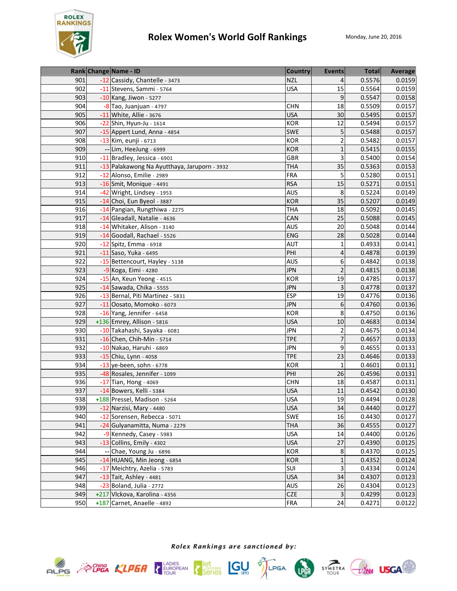

|     | Rank Change Name - ID                        | <b>Country</b> | <b>Events</b>  | <b>Total</b> | Average |
|-----|----------------------------------------------|----------------|----------------|--------------|---------|
| 901 | -12 Cassidy, Chantelle - 3473                | <b>NZL</b>     | 4              | 0.5576       | 0.0159  |
| 902 | -11 Stevens, Sammi - 5764                    | <b>USA</b>     | 15             | 0.5564       | 0.0159  |
| 903 | -10 Kang, Jiwon - 5277                       |                | 9              | 0.5547       | 0.0158  |
| 904 | -8 Tao, Juanjuan - 4797                      | <b>CHN</b>     | 18             | 0.5509       | 0.0157  |
| 905 | -11 White, Allie - 3676                      | <b>USA</b>     | 30             | 0.5495       | 0.0157  |
| 906 | -22 Shin, Hyun-Ju - 1614                     | <b>KOR</b>     | 12             | 0.5494       | 0.0157  |
| 907 | -15 Appert Lund, Anna - 4854                 | SWE            | 5              | 0.5488       | 0.0157  |
| 908 | -13 Kim, eunji - 6713                        | <b>KOR</b>     | 2              | 0.5482       | 0.0157  |
| 909 | -- Lim, HeeJung - 6999                       | <b>KOR</b>     | $\mathbf 1$    | 0.5415       | 0.0155  |
| 910 | -11 Bradley, Jessica - 6901                  | GBR            | 3              | 0.5400       | 0.0154  |
| 911 | -13 Palakawong Na Ayutthaya, Jaruporn - 3932 | <b>THA</b>     | 35             | 0.5363       | 0.0153  |
| 912 | -12 Alonso, Emilie - 2989                    | <b>FRA</b>     | 5              | 0.5280       | 0.0151  |
| 913 | $-16$ Smit, Monique - 4491                   | <b>RSA</b>     | 15             | 0.5271       | 0.0151  |
| 914 | -42 Wright, Lindsey - 1953                   | <b>AUS</b>     | 8              | 0.5224       | 0.0149  |
| 915 | -14 Choi, Eun Byeol - 3887                   | <b>KOR</b>     | 35             | 0.5207       | 0.0149  |
| 916 | -14 Pangian, Rungthiwa - 2275                | <b>THA</b>     | 18             | 0.5092       | 0.0145  |
| 917 | -14 Gleadall, Natalie - 4636                 | CAN            | 25             | 0.5088       | 0.0145  |
| 918 | -14 Whitaker, Alison - 3140                  | <b>AUS</b>     | 20             | 0.5048       | 0.0144  |
| 919 | -14 Goodall, Rachael - 5526                  | <b>ENG</b>     | 28             | 0.5028       | 0.0144  |
| 920 | -12 Spitz, Emma - 6918                       | <b>AUT</b>     | $\mathbf{1}$   | 0.4933       | 0.0141  |
| 921 | -11 Saso, Yuka - 6495                        | PHI            | 4              | 0.4878       | 0.0139  |
| 922 | -15 Bettencourt, Hayley - 5138               | <b>AUS</b>     | 6              | 0.4842       | 0.0138  |
| 923 | -9 Koga, Eimi - 4280                         | <b>JPN</b>     | $\overline{2}$ | 0.4815       | 0.0138  |
| 924 | -15 An, Keun Yeong - 4515                    | <b>KOR</b>     | 19             | 0.4785       | 0.0137  |
| 925 | -14 Sawada, Chika - 5555                     | <b>JPN</b>     | $\overline{3}$ | 0.4778       | 0.0137  |
| 926 | -13 Bernal, Piti Martinez - 5831             | <b>ESP</b>     | 19             | 0.4776       | 0.0136  |
| 927 | -11 Oosato, Momoko - 6073                    | <b>JPN</b>     | 6              | 0.4760       | 0.0136  |
| 928 | -16 Yang, Jennifer - 6458                    | KOR            | 8              | 0.4750       | 0.0136  |
| 929 | +136 Emrey, Allison - 5816                   | <b>USA</b>     | 10             | 0.4683       | 0.0134  |
| 930 | -10 Takahashi, Sayaka - 6081                 | <b>JPN</b>     | $\overline{2}$ | 0.4675       | 0.0134  |
| 931 | -16 Chen, Chih-Min - 5714                    | <b>TPE</b>     | 7              | 0.4657       | 0.0133  |
| 932 | -10 Nakao, Haruhi - 6869                     | <b>JPN</b>     | 9              | 0.4655       | 0.0133  |
| 933 | -15 Chiu, Lynn - 4058                        | <b>TPE</b>     | 23             | 0.4646       | 0.0133  |
| 934 | $-13$ ye-been, sohn - 6778                   | <b>KOR</b>     | $\mathbf{1}$   | 0.4601       | 0.0131  |
| 935 | -48 Rosales, Jennifer - 1099                 | PHI            | 26             | 0.4596       | 0.0131  |
| 936 | -17 Tian, Hong - 4069                        | <b>CHN</b>     | 18             | 0.4587       | 0.0131  |
| 937 | -14 Bowers, Kelli - 5384                     | <b>USA</b>     | 11             | 0.4542       | 0.0130  |
| 938 | +188 Pressel, Madison - 5264                 | <b>USA</b>     | 19             | 0.4494       | 0.0128  |
| 939 | -12 Narzisi, Mary - 4480                     | <b>USA</b>     | 34             | 0.4440       | 0.0127  |
| 940 | -12 Sorensen, Rebecca - 5071                 | SWE            | 16             | 0.4430       | 0.0127  |
| 941 | -24 Gulyanamitta, Numa - 2279                | <b>THA</b>     | 36             | 0.4555       | 0.0127  |
| 942 | -9 Kennedy, Casey - 5983                     | <b>USA</b>     | 14             | 0.4400       | 0.0126  |
| 943 | -13 Collins, Emily - 4302                    | <b>USA</b>     | 27             | 0.4390       | 0.0125  |
| 944 | -- Chae, Young Ju - 6896                     | KOR            | 8              | 0.4370       | 0.0125  |
| 945 | -14 HUANG, Min Jeong - 6854                  | KOR            | $\mathbf{1}$   | 0.4352       | 0.0124  |
| 946 | -17 Meichtry, Azelia - 5783                  | SUI            | 3              | 0.4334       | 0.0124  |
| 947 | -13 Tait, Ashley - 4481                      | <b>USA</b>     | 34             | 0.4307       | 0.0123  |
| 948 | $-23$ Boland, Julia - 2772                   | AUS            | 26             | 0.4304       | 0.0123  |
| 949 | +217 Vlckova, Karolina - 4356                | CZE            | 3              | 0.4299       | 0.0123  |
| 950 | +187 Carnet, Anaelle - 4892                  | <b>FRA</b>     | 24             | 0.4271       | 0.0122  |









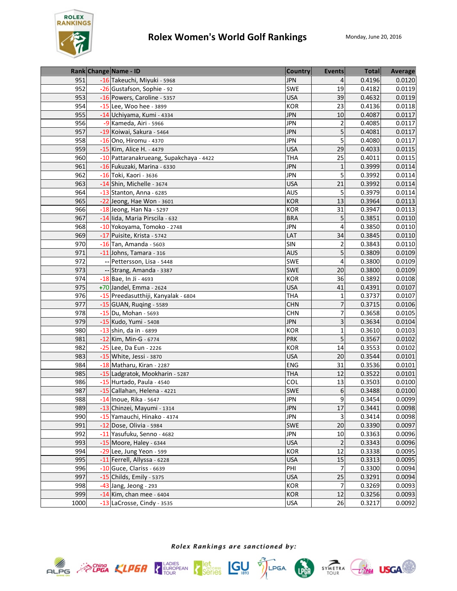

|      | Rank Change Name - ID                   | <b>Country</b> | <b>Events</b>  | <b>Total</b> | Average |
|------|-----------------------------------------|----------------|----------------|--------------|---------|
| 951  | -16 Takeuchi, Miyuki - 5968             | <b>JPN</b>     | 4              | 0.4196       | 0.0120  |
| 952  | -26 Gustafson, Sophie - 92              | <b>SWE</b>     | 19             | 0.4182       | 0.0119  |
| 953  | -16 Powers, Caroline - 5357             | <b>USA</b>     | 39             | 0.4632       | 0.0119  |
| 954  | -15 Lee, Woo hee - 3899                 | <b>KOR</b>     | 23             | 0.4136       | 0.0118  |
| 955  | -14 Uchiyama, Kumi - 4334               | <b>JPN</b>     | 10             | 0.4087       | 0.0117  |
| 956  | -9 Kameda, Airi - 5966                  | <b>JPN</b>     | 2              | 0.4085       | 0.0117  |
| 957  | -19 Koiwai, Sakura - 5464               | <b>JPN</b>     | 5              | 0.4081       | 0.0117  |
| 958  | -16 Ono, Hiromu - 4370                  | <b>JPN</b>     | 5              | 0.4080       | 0.0117  |
| 959  | -15 Kim, Alice H. - 4479                | <b>USA</b>     | 29             | 0.4033       | 0.0115  |
| 960  | -10 Pattaranakrueang, Supakchaya - 4422 | <b>THA</b>     | 25             | 0.4011       | 0.0115  |
| 961  | -16 Fukuzaki, Marina - 6330             | <b>JPN</b>     | $\mathbf{1}$   | 0.3999       | 0.0114  |
| 962  | -16 Toki, Kaori - 3636                  | <b>JPN</b>     | 5              | 0.3992       | 0.0114  |
| 963  | -14 Shin, Michelle - 3674               | <b>USA</b>     | 21             | 0.3992       | 0.0114  |
| 964  | $-13$ Stanton, Anna - 6285              | AUS            | 5              | 0.3979       | 0.0114  |
| 965  | -22 Jeong, Hae Won - 3601               | <b>KOR</b>     | 13             | 0.3964       | 0.0113  |
| 966  | $-18$ Jeong, Han Na - 5297              | <b>KOR</b>     | 31             | 0.3947       | 0.0113  |
| 967  | -14 lida, Maria Pirscila - 632          | <b>BRA</b>     | 5              | 0.3851       | 0.0110  |
| 968  | -10 Yokoyama, Tomoko - 2748             | <b>JPN</b>     | 4              | 0.3850       | 0.0110  |
| 969  | -17 Puisite, Krista - 5742              | LAT            | 34             | 0.3845       | 0.0110  |
| 970  | $-16$ Tan, Amanda - 5603                | <b>SIN</b>     | 2              | 0.3843       | 0.0110  |
| 971  | -11 Johns, Tamara - 316                 | <b>AUS</b>     | 5              | 0.3809       | 0.0109  |
| 972  | -- Pettersson, Lisa - 5448              | <b>SWE</b>     | 4              | 0.3800       | 0.0109  |
| 973  | -- Strang, Amanda - 3387                | <b>SWE</b>     | 20             | 0.3800       | 0.0109  |
| 974  | -18 Bae, In Ji - 4693                   | KOR            | 36             | 0.3892       | 0.0108  |
| 975  | +70 Jandel, Emma - 2624                 | <b>USA</b>     | 41             | 0.4391       | 0.0107  |
| 976  | -15 Preedasutthiji, Kanyalak - 6804     | <b>THA</b>     | $\mathbf{1}$   | 0.3737       | 0.0107  |
| 977  | -15 GUAN, Ruging - 5589                 | <b>CHN</b>     | $\overline{7}$ | 0.3715       | 0.0106  |
| 978  | -15 Du, Mohan - 5693                    | <b>CHN</b>     | 7              | 0.3658       | 0.0105  |
| 979  | -15 Kudo, Yumi - 5408                   | <b>JPN</b>     | 3              | 0.3634       | 0.0104  |
| 980  | -13 shin, da in - 6899                  | <b>KOR</b>     | $\mathbf{1}$   | 0.3610       | 0.0103  |
| 981  | -12 Kim, Min-G - 6774                   | <b>PRK</b>     | 5              | 0.3567       | 0.0102  |
| 982  | -25 Lee, Da Eun - 2226                  | <b>KOR</b>     | 14             | 0.3553       | 0.0102  |
| 983  | -15 White, Jessi - 3870                 | <b>USA</b>     | 20             | 0.3544       | 0.0101  |
| 984  | -18 Matharu, Kiran - 2287               | ENG            | 31             | 0.3536       | 0.0101  |
| 985  | -15 Ladgratok, Mookharin - 5287         | <b>THA</b>     | 12             | 0.3522       | 0.0101  |
| 986  | -15 Hurtado, Paula - 4540               | <b>COL</b>     | 13             | 0.3503       | 0.0100  |
| 987  | -15 Callahan, Helena - 4221             | <b>SWE</b>     | 6              | 0.3488       | 0.0100  |
| 988  | -14 Inoue, Rika - 5647                  | JPN            | $\mathsf g$    | 0.3454       | 0.0099  |
| 989  | -13 Chinzei, Mayumi - 1314              | <b>JPN</b>     | 17             | 0.3441       | 0.0098  |
| 990  | -15 Yamauchi, Hinako - 4374             | <b>JPN</b>     | 3              | 0.3414       | 0.0098  |
| 991  | -12 Dose, Olivia - 5984                 | <b>SWE</b>     | 20             | 0.3390       | 0.0097  |
| 992  | -11 Yasufuku, Senno - 4682              | <b>JPN</b>     | 10             | 0.3363       | 0.0096  |
| 993  | -15 Moore, Haley - 6344                 | <b>USA</b>     | $\overline{2}$ | 0.3343       | 0.0096  |
| 994  | -29 Lee, Jung Yeon - 599                | KOR            | 12             | 0.3338       | 0.0095  |
| 995  | -11 Ferrell, Allyssa - 6228             | <b>USA</b>     | 15             | 0.3313       | 0.0095  |
| 996  | $-10$ Guce, Clariss - 6639              | PHI            | $\overline{7}$ | 0.3300       | 0.0094  |
| 997  | -15 Childs, Emily - 5375                | <b>USA</b>     | 25             | 0.3291       | 0.0094  |
| 998  | -43 Jang, Jeong - 293                   | KOR            | $\overline{7}$ | 0.3269       | 0.0093  |
| 999  | $-14$ Kim, chan mee - 6404              | <b>KOR</b>     | 12             | 0.3256       | 0.0093  |
| 1000 | -13 LaCrosse, Cindy - 3535              | <b>USA</b>     | 26             | 0.3217       | 0.0092  |







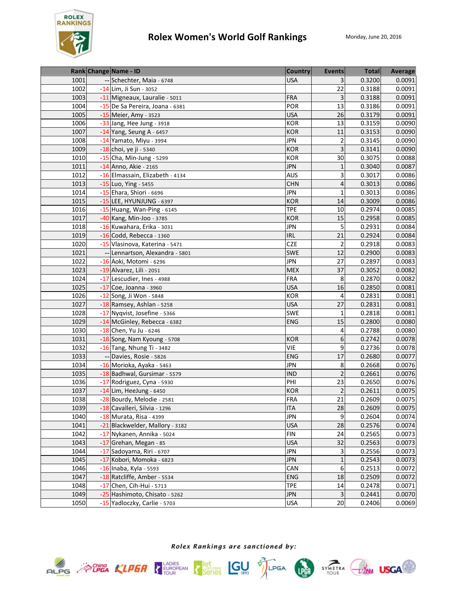

|      | Rank Change Name - ID           | <b>Country</b> | <b>Events</b>           | <b>Total</b> | Average |
|------|---------------------------------|----------------|-------------------------|--------------|---------|
| 1001 | -- Schechter, Maia - 6748       | <b>USA</b>     |                         | 0.3200       | 0.0091  |
| 1002 | -14 Lim, Ji Sun - 3052          |                | 22                      | 0.3188       | 0.0091  |
| 1003 | -11 Migneaux, Lauralie - 5011   | <b>FRA</b>     | 3                       | 0.3188       | 0.0091  |
| 1004 | -15 De Sa Pereira, Joana - 6381 | POR            | 13                      | 0.3186       | 0.0091  |
| 1005 | -15 Meier, Amy - 3523           | <b>USA</b>     | 26                      | 0.3179       | 0.0091  |
| 1006 | -33 Jang, Hee Jung - 3918       | KOR            | 13                      | 0.3159       | 0.0090  |
| 1007 | $-14$ Yang, Seung A - 6457      | <b>KOR</b>     | 11                      | 0.3153       | 0.0090  |
| 1008 | -14 Yamato, Miyu - 3994         | <b>JPN</b>     | $\overline{\mathbf{c}}$ | 0.3145       | 0.0090  |
| 1009 | -18 choi, ye ji - 5340          | <b>KOR</b>     | 3                       | 0.3141       | 0.0090  |
| 1010 | $-15$ Cha, Min-Jung - 5299      | <b>KOR</b>     | 30                      | 0.3075       | 0.0088  |
| 1011 | -14 Anno, Akie - 2165           | <b>JPN</b>     | $\mathbf{1}$            | 0.3040       | 0.0087  |
| 1012 | -16 Elmassain, Elizabeth - 4134 | <b>AUS</b>     | 3                       | 0.3017       | 0.0086  |
| 1013 | -15 Luo, Ying - 5455            | <b>CHN</b>     | 4                       | 0.3013       | 0.0086  |
| 1014 | -15 Ehara, Shiori - 6696        | <b>JPN</b>     | $\mathbf{1}$            | 0.3013       | 0.0086  |
| 1015 | -15 LEE, HYUNJUNG - 6397        | <b>KOR</b>     | 14                      | 0.3009       | 0.0086  |
| 1016 | -15 Huang, Wan-Ping - 6145      | <b>TPE</b>     | 10                      | 0.2974       | 0.0085  |
| 1017 | -40 Kang, Min-Joo - 3785        | <b>KOR</b>     | 15                      | 0.2958       | 0.0085  |
| 1018 | -16 Kuwahara, Erika - 3031      | JPN            | 5                       | 0.2931       | 0.0084  |
| 1019 | $-16$ Codd, Rebecca - 1360      | <b>IRL</b>     | 21                      | 0.2924       | 0.0084  |
| 1020 | -15 Vlasinova, Katerina - 5471  | <b>CZE</b>     | $\overline{\mathbf{c}}$ | 0.2918       | 0.0083  |
| 1021 | -- Lennartson, Alexandra - 5801 | <b>SWE</b>     | 12                      | 0.2900       | 0.0083  |
| 1022 | -16 Aoki, Motomi - 6296         | <b>JPN</b>     | 27                      | 0.2897       | 0.0083  |
| 1023 | -19 Alvarez, Lili - 2051        | <b>MEX</b>     | 37                      | 0.3052       | 0.0082  |
| 1024 | -17 Lescudier, Ines - 4988      | <b>FRA</b>     | 8                       | 0.2870       | 0.0082  |
| 1025 | -17 Coe, Joanna - 3960          | <b>USA</b>     | 16                      | 0.2850       | 0.0081  |
| 1026 | -12 Song, Ji Won - 5848         | <b>KOR</b>     | 4                       | 0.2831       | 0.0081  |
| 1027 | -18 Ramsey, Ashlan - 5258       | <b>USA</b>     | 27                      | 0.2831       | 0.0081  |
| 1028 | -17 Nyqvist, Josefine - 5366    | SWE            | $\mathbf{1}$            | 0.2818       | 0.0081  |
| 1029 | -14 McGinley, Rebecca - 6382    | <b>ENG</b>     | 15                      | 0.2800       | 0.0080  |
| 1030 | -18 Chen, Yu Ju - 6246          |                | 4                       | 0.2788       | 0.0080  |
| 1031 | -18 Song, Nam Kyoung - 5708     | <b>KOR</b>     | 6                       | 0.2742       | 0.0078  |
| 1032 | -16 Tang, Nhung Ti - 3482       | <b>VIE</b>     | 9                       | 0.2736       | 0.0078  |
| 1033 | -- Davies, Rosie - 5826         | <b>ENG</b>     | 17                      | 0.2680       | 0.0077  |
| 1034 | -16 Morioka, Ayaka - 5463       | <b>JPN</b>     | 8                       | 0.2668       | 0.0076  |
| 1035 | -18 Badhwal, Gursimar - 5579    | <b>IND</b>     | $\overline{2}$          | 0.2661       | 0.0076  |
| 1036 | -17 Rodriguez, Cyna - 5930      | PHI            | 23                      | 0.2650       | 0.0076  |
| 1037 | $-14$ Lim, HeeJung - 6450       | <b>KOR</b>     | $\overline{2}$          | 0.2611       | 0.0075  |
| 1038 | -28 Bourdy, Melodie - 2581      | FRA            | 21                      | 0.2609       | 0.0075  |
| 1039 | -18 Cavalleri, Silvia - 1296    | <b>ITA</b>     | 28                      | 0.2609       | 0.0075  |
| 1040 | -18 Murata, Risa - 4399         | <b>JPN</b>     | 9                       | 0.2604       | 0.0074  |
| 1041 | -21 Blackwelder, Mallory - 3182 | <b>USA</b>     | 28                      | 0.2576       | 0.0074  |
| 1042 | -17 Nykanen, Annika - 5024      | <b>FIN</b>     | 24                      | 0.2565       | 0.0073  |
| 1043 | -17 Grehan, Megan - 85          | <b>USA</b>     | 32                      | 0.2563       | 0.0073  |
| 1044 | -17 Sadoyama, Riri - 6707       | <b>JPN</b>     | 3                       | 0.2556       | 0.0073  |
| 1045 | -17 Kobori, Momoka - 6823       | <b>JPN</b>     | $\mathbf{1}$            | 0.2543       | 0.0073  |
| 1046 | -16 Inaba, Kyla - 5593          | CAN            | 6                       | 0.2513       | 0.0072  |
| 1047 | -18 Ratcliffe, Amber - 5534     | <b>ENG</b>     | 18                      | 0.2509       | 0.0072  |
| 1048 | -17 Chen, Cih-Hui - 5713        | <b>TPE</b>     | 14                      | 0.2478       | 0.0071  |
| 1049 | -25 Hashimoto, Chisato - 5262   | <b>JPN</b>     | 3                       | 0.2441       | 0.0070  |
| 1050 | -15 Yadloczky, Carlie - 5703    | <b>USA</b>     | 20                      | 0.2406       | 0.0069  |









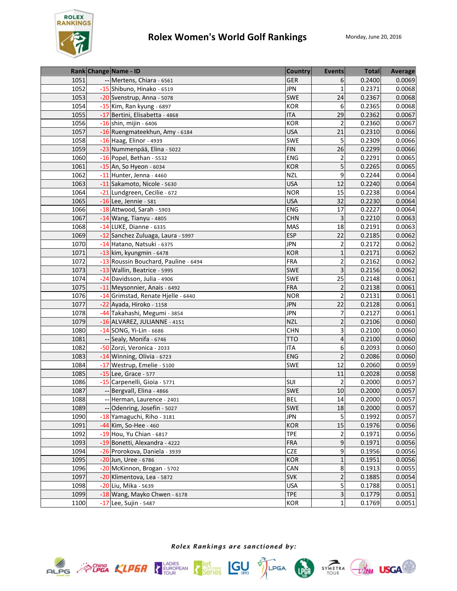

|                   | Rank Change Name - ID                | <b>Country</b> | <b>Events</b>           | <b>Total</b> | Average |
|-------------------|--------------------------------------|----------------|-------------------------|--------------|---------|
| 1051              | Mertens, Chiara - 6561               | GER            | 6                       | 0.2400       | 0.0069  |
| $\overline{1052}$ | -15 Shibuno, Hinako - 6519           | <b>JPN</b>     | $\mathbf{1}$            | 0.2371       | 0.0068  |
| 1053              | -20 Svenstrup, Anna - 5078           | SWE            | 24                      | 0.2367       | 0.0068  |
| 1054              | -15 Kim, Ran kyung - 6897            | <b>KOR</b>     | 6                       | 0.2365       | 0.0068  |
| 1055              | -17 Bertini, Elisabetta - 4868       | <b>ITA</b>     | 29                      | 0.2362       | 0.0067  |
| 1056              | -16 shin, mijin - 6406               | <b>KOR</b>     | $\overline{2}$          | 0.2360       | 0.0067  |
| 1057              | -16 Ruengmateekhun, Amy - 6184       | <b>USA</b>     | 21                      | 0.2310       | 0.0066  |
| 1058              | -16 Haag, Elinor - 4939              | SWE            | 5                       | 0.2309       | 0.0066  |
| 1059              | -23 Nummenpää, Elina - 5022          | <b>FIN</b>     | 26                      | 0.2299       | 0.0066  |
| 1060              | -16 Popel, Bethan - 5532             | ENG            | $\overline{2}$          | 0.2291       | 0.0065  |
| 1061              | -15 An, So Hyeon - 6034              | <b>KOR</b>     | 5                       | 0.2265       | 0.0065  |
| 1062              | $-11$ Hunter, Jenna - 4460           | <b>NZL</b>     | 9                       | 0.2244       | 0.0064  |
| 1063              | -11 Sakamoto, Nicole - 5630          | <b>USA</b>     | 12                      | 0.2240       | 0.0064  |
| 1064              | -21 Lundgreen, Cecilie - 672         | <b>NOR</b>     | 15                      | 0.2238       | 0.0064  |
| 1065              | -16 Lee, Jennie - 581                | <b>USA</b>     | 32                      | 0.2230       | 0.0064  |
| 1066              | -18 Attwood, Sarah - 5903            | ENG            | 17                      | 0.2227       | 0.0064  |
| 1067              | -14 Wang, Tianyu - 4805              | <b>CHN</b>     | 3                       | 0.2210       | 0.0063  |
| 1068              | -14 LUKE, Dianne - 6335              | <b>MAS</b>     | 18                      | 0.2191       | 0.0063  |
| 1069              | -12 Sanchez Zuluaga, Laura - 5997    | <b>ESP</b>     | 22                      | 0.2185       | 0.0062  |
| 1070              | -14 Hatano, Natsuki - 6375           | <b>JPN</b>     | $\overline{2}$          | 0.2172       | 0.0062  |
| 1071              | -13 kim, kyungmin - 6478             | <b>KOR</b>     | $\mathbf{1}$            | 0.2171       | 0.0062  |
| 1072              | -13 Roussin Bouchard, Pauline - 6494 | <b>FRA</b>     | $\overline{\mathbf{c}}$ | 0.2162       | 0.0062  |
| 1073              | -13 Wallin, Beatrice - 5995          | <b>SWE</b>     | 3                       | 0.2156       | 0.0062  |
| 1074              | -24 Davidsson, Julia - 4906          | SWE            | 25                      | 0.2148       | 0.0061  |
| 1075              | -11 Meysonnier, Anais - 6492         | <b>FRA</b>     | 2                       | 0.2138       | 0.0061  |
| 1076              | -14 Grimstad, Renate Hjelle - 6440   | <b>NOR</b>     | $\overline{2}$          | 0.2131       | 0.0061  |
| 1077              | -22 Ayada, Hiroko - 1158             | <b>JPN</b>     | 22                      | 0.2128       | 0.0061  |
| 1078              | -44 Takahashi, Megumi - 3854         | <b>JPN</b>     | 7                       | 0.2127       | 0.0061  |
| 1079              | -16 ALVAREZ, JULIANNE - 4151         | <b>NZL</b>     | $\overline{\mathbf{c}}$ | 0.2106       | 0.0060  |
| 1080              | -14 SONG, Yi-Lin - 6686              | <b>CHN</b>     | 3                       | 0.2100       | 0.0060  |
| 1081              | -- Sealy, Monifa - 6746              | <b>TTO</b>     | $\overline{4}$          | 0.2100       | 0.0060  |
| 1082              | -50 Zorzi, Veronica - 2033           | <b>ITA</b>     | 6                       | 0.2093       | 0.0060  |
| 1083              | -14 Winning, Olivia - 6723           | ENG            | $\overline{2}$          | 0.2086       | 0.0060  |
| 1084              | -17 Westrup, Emelie - 5100           | SWE            | 12                      | 0.2060       | 0.0059  |
| 1085              | -15 Lee, Grace - 577                 |                | 11                      | 0.2028       | 0.0058  |
| 1086              | -15 Carpenelli, Gioia - 5771         | <b>SUI</b>     | $\overline{2}$          | 0.2000       | 0.0057  |
| 1087              | -- Bergvall, Elina - 4866            | <b>SWE</b>     | 10                      | 0.2000       | 0.0057  |
| 1088              | -- Herman, Laurence - 2401           | <b>BEL</b>     | 14                      | 0.2000       | 0.0057  |
| 1089              | -- Odenring, Josefin - 5027          | <b>SWE</b>     | 18                      | 0.2000       | 0.0057  |
| 1090              | -18 Yamaguchi, Riho - 3181           | <b>JPN</b>     | 5                       | 0.1992       | 0.0057  |
| 1091              | -44 Kim, So-Hee - 460                | <b>KOR</b>     | 15                      | 0.1976       | 0.0056  |
| 1092              | -19 Hou, Yu Chian - 6817             | <b>TPE</b>     | 2                       | 0.1971       | 0.0056  |
| 1093              | -19 Bonetti, Alexandra - 4222        | FRA            | 9                       | 0.1971       | 0.0056  |
| 1094              | -26 Prorokova, Daniela - 3939        | <b>CZE</b>     | 9                       | 0.1956       | 0.0056  |
| 1095              | -20 Jun, Uree - 6786                 | KOR            | $\mathbf{1}$            | 0.1951       | 0.0056  |
| 1096              | -20 McKinnon, Brogan - 5702          | CAN            | 8                       | 0.1913       | 0.0055  |
| 1097              | -20 Klimentova, Lea - 5872           | <b>SVK</b>     | $\mathbf 2$             | 0.1885       | 0.0054  |
| 1098              | -20 Liu, Mika - 5639                 | <b>USA</b>     | 5                       | 0.1788       | 0.0051  |
| 1099              | -18 Wang, Mayko Chwen - 6178         | <b>TPE</b>     | $\mathbf{3}$            | 0.1779       | 0.0051  |
| 1100              | -17 Lee, Sujin - 5487                | KOR            | $\mathbf{1}$            | 0.1769       | 0.0051  |





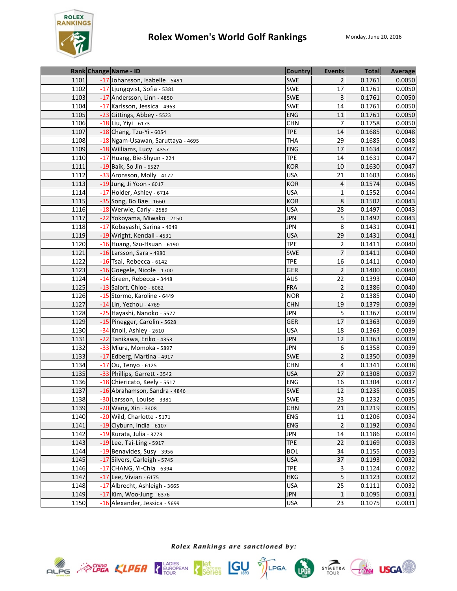

|      | Rank Change Name - ID             | <b>Country</b> | <b>Events</b>           | <b>Total</b> | Average |
|------|-----------------------------------|----------------|-------------------------|--------------|---------|
| 1101 | -17 Johansson, Isabelle - 5491    | <b>SWE</b>     | 2                       | 0.1761       | 0.0050  |
| 1102 | -17 Ljungqvist, Sofia - 5381      | SWE            | 17                      | 0.1761       | 0.0050  |
| 1103 | -17 Andersson, Linn - 4850        | SWE            | 3                       | 0.1761       | 0.0050  |
| 1104 | -17 Karlsson, Jessica - 4963      | SWE            | 14                      | 0.1761       | 0.0050  |
| 1105 | -23 Gittings, Abbey - 5523        | <b>ENG</b>     | 11                      | 0.1761       | 0.0050  |
| 1106 | -18 Liu, Yiyi - 6173              | <b>CHN</b>     | 7                       | 0.1758       | 0.0050  |
| 1107 | -18 Chang, Tzu-Yi - 6054          | <b>TPE</b>     | 14                      | 0.1685       | 0.0048  |
| 1108 | -18 Ngam-Usawan, Saruttaya - 4695 | <b>THA</b>     | 29                      | 0.1685       | 0.0048  |
| 1109 | -18 Williams, Lucy - 4357         | <b>ENG</b>     | 17                      | 0.1634       | 0.0047  |
| 1110 | -17 Huang, Bie-Shyun - 224        | <b>TPE</b>     | 14                      | 0.1631       | 0.0047  |
| 1111 | -19 Baik, So Jin - 6527           | <b>KOR</b>     | 10                      | 0.1630       | 0.0047  |
| 1112 | -33 Aronsson, Molly - 4172        | <b>USA</b>     | 21                      | 0.1603       | 0.0046  |
| 1113 | -19 Jung, Ji Yoon - 6017          | <b>KOR</b>     | 4                       | 0.1574       | 0.0045  |
| 1114 | -17 Holder, Ashley - 6714         | <b>USA</b>     | $\mathbf{1}$            | 0.1552       | 0.0044  |
| 1115 | -35 Song, Bo Bae - 1660           | <b>KOR</b>     | 8                       | 0.1502       | 0.0043  |
| 1116 | -18 Werwie, Carly - 2589          | <b>USA</b>     | 28                      | 0.1497       | 0.0043  |
| 1117 | -22 Yokoyama, Miwako - 2150       | <b>JPN</b>     | 5                       | 0.1492       | 0.0043  |
| 1118 | -17 Kobayashi, Sarina - 4049      | <b>JPN</b>     | 8                       | 0.1431       | 0.0041  |
| 1119 | -19 Wright, Kendall - 4531        | <b>USA</b>     | 29                      | 0.1431       | 0.0041  |
| 1120 | -16 Huang, Szu-Hsuan - 6190       | <b>TPE</b>     | $\overline{\mathbf{c}}$ | 0.1411       | 0.0040  |
| 1121 | $-16$ Larsson, Sara - 4980        | <b>SWE</b>     | $\overline{7}$          | 0.1411       | 0.0040  |
| 1122 | -16 Tsai, Rebecca - 6142          | <b>TPE</b>     | 16                      | 0.1411       | 0.0040  |
| 1123 | -16 Goegele, Nicole - 1700        | <b>GER</b>     | $\overline{2}$          | 0.1400       | 0.0040  |
| 1124 | -14 Green, Rebecca - 3448         | <b>AUS</b>     | 22                      | 0.1393       | 0.0040  |
| 1125 | -13 Salort, Chloe - 6062          | <b>FRA</b>     | $\overline{2}$          | 0.1386       | 0.0040  |
| 1126 | -15 Stormo, Karoline - 6449       | <b>NOR</b>     | 2                       | 0.1385       | 0.0040  |
| 1127 | -14 Lin, Yezhou - 4769            | <b>CHN</b>     | 19                      | 0.1379       | 0.0039  |
| 1128 | -25 Hayashi, Nanoko - 5577        | <b>JPN</b>     | 5                       | 0.1367       | 0.0039  |
| 1129 | -15 Pinegger, Carolin - 5628      | GER            | 17                      | 0.1363       | 0.0039  |
| 1130 | -34 Knoll, Ashley - 2610          | <b>USA</b>     | 18                      | 0.1363       | 0.0039  |
| 1131 | -22 Tanikawa, Eriko - 4353        | <b>JPN</b>     | 12                      | 0.1363       | 0.0039  |
| 1132 | -33 Miura, Momoka - 5897          | <b>JPN</b>     | 6                       | 0.1358       | 0.0039  |
| 1133 | -17 Edberg, Martina - 4917        | <b>SWE</b>     | $\overline{2}$          | 0.1350       | 0.0039  |
| 1134 | -17 Ou, Tenyo - 6125              | <b>CHN</b>     | 4                       | 0.1341       | 0.0038  |
| 1135 | -33 Phillips, Garrett - 3542      | <b>USA</b>     | 27                      | 0.1308       | 0.0037  |
| 1136 | -18 Chiericato, Keely - 5517      | ENG            | 16                      | 0.1304       | 0.0037  |
| 1137 | -16 Abrahamson, Sandra - 4846     | SWE            | 12                      | 0.1235       | 0.0035  |
| 1138 | -30 Larsson, Louise - 3381        | <b>SWE</b>     | 23                      | 0.1232       | 0.0035  |
| 1139 | -20 Wang, Xin - 3408              | <b>CHN</b>     | 21                      | 0.1219       | 0.0035  |
| 1140 | -20 Wild, Charlotte - 5171        | ENG            | 11                      | 0.1206       | 0.0034  |
| 1141 | $-19$ Clyburn, India - 6107       | <b>ENG</b>     | $\overline{2}$          | 0.1192       | 0.0034  |
| 1142 | -19 Kurata, Julia - 3773          | <b>JPN</b>     | 14                      | 0.1186       | 0.0034  |
| 1143 | $-19$ Lee, Tai-Ling - 5917        | <b>TPE</b>     | 22                      | 0.1169       | 0.0033  |
| 1144 | -19 Benavides, Susy - 3956        | <b>BOL</b>     | 34                      | 0.1155       | 0.0033  |
| 1145 | -17 Silvers, Carleigh - 5745      | <b>USA</b>     | 37                      | 0.1193       | 0.0032  |
| 1146 | -17 CHANG, Yi-Chia - 6394         | <b>TPE</b>     | 3                       | 0.1124       | 0.0032  |
| 1147 | -17 Lee, Vivian - 6175            | <b>HKG</b>     | 5                       | 0.1123       | 0.0032  |
| 1148 | -17 Albrecht, Ashleigh - 3665     | <b>USA</b>     | 25                      | 0.1111       | 0.0032  |
| 1149 | -17 Kim, Woo-Jung - 6376          | <b>JPN</b>     | $\mathbf{1}$            | 0.1095       | 0.0031  |
| 1150 | -16 Alexander, Jessica - 5699     | <b>USA</b>     | 23                      | 0.1075       | 0.0031  |